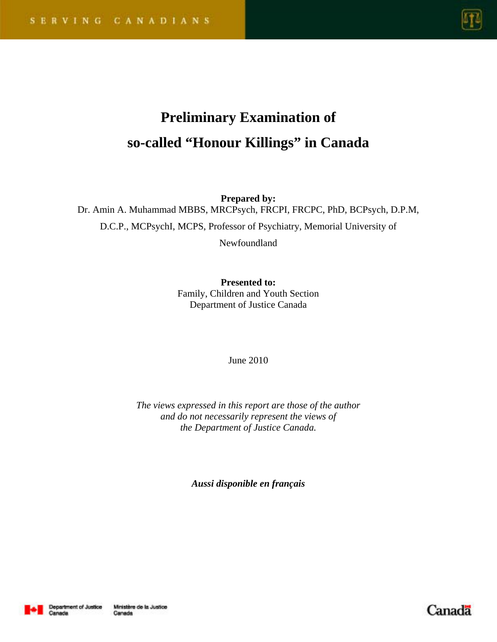

# **Preliminary Examination of so-called "Honour Killings" in Canada**

**Prepared by:** Dr. Amin A. Muhammad MBBS, MRCPsych, FRCPI, FRCPC, PhD, BCPsych, D.P.M,

D.C.P., MCPsychI, MCPS, Professor of Psychiatry, Memorial University of

Newfoundland

**Presented to:**  Family, Children and Youth Section Department of Justice Canada

June 2010

*The views expressed in this report are those of the author and do not necessarily represent the views of the Department of Justice Canada.* 

*Aussi disponible en français*



Canada

Canada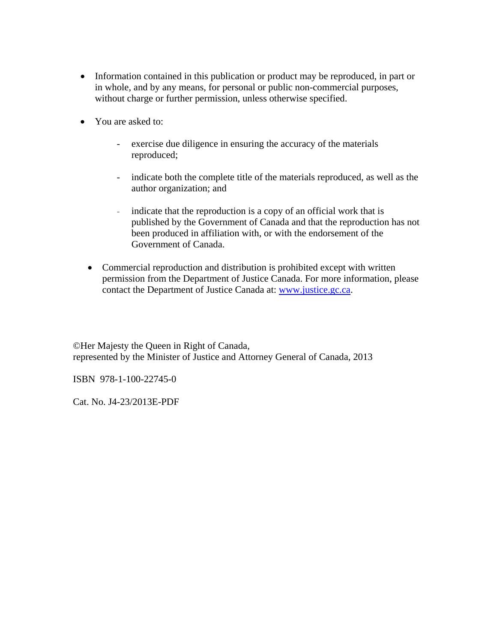- Information contained in this publication or product may be reproduced, in part or in whole, and by any means, for personal or public non-commercial purposes, without charge or further permission, unless otherwise specified.
- You are asked to:
	- exercise due diligence in ensuring the accuracy of the materials reproduced;
	- indicate both the complete title of the materials reproduced, as well as the author organization; and
	- indicate that the reproduction is a copy of an official work that is published by the Government of Canada and that the reproduction has not been produced in affiliation with, or with the endorsement of the Government of Canada.
	- Commercial reproduction and distribution is prohibited except with written permission from the Department of Justice Canada. For more information, please contact the Department of Justice Canada at: www.justice.gc.ca.

©Her Majesty the Queen in Right of Canada, represented by the Minister of Justice and Attorney General of Canada, 2013

ISBN 978-1-100-22745-0

Cat. No. J4-23/2013E-PDF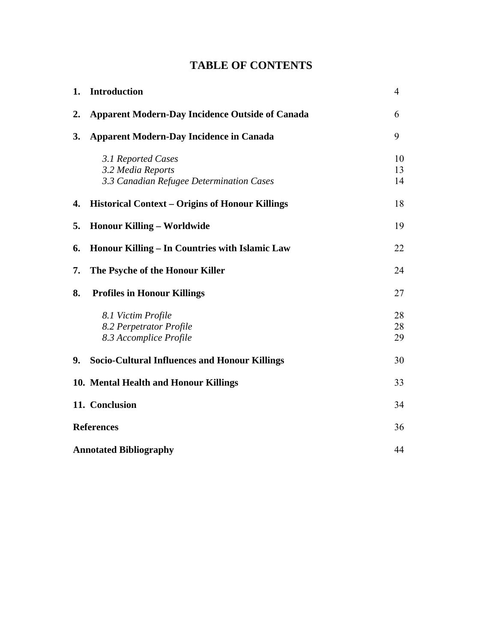# **TABLE OF CONTENTS**

| 1.                            | <b>Introduction</b>                                                                 | $\overline{4}$ |
|-------------------------------|-------------------------------------------------------------------------------------|----------------|
| $\mathbf{2}$ .                | <b>Apparent Modern-Day Incidence Outside of Canada</b>                              | 6              |
| 3.                            | <b>Apparent Modern-Day Incidence in Canada</b>                                      | 9              |
|                               | 3.1 Reported Cases<br>3.2 Media Reports<br>3.3 Canadian Refugee Determination Cases | 10<br>13<br>14 |
| 4.                            | Historical Context - Origins of Honour Killings                                     | 18             |
| 5.                            | <b>Honour Killing - Worldwide</b>                                                   | 19             |
| 6.                            | Honour Killing - In Countries with Islamic Law                                      | 22             |
| 7.                            | The Psyche of the Honour Killer                                                     | 24             |
| 8.                            | <b>Profiles in Honour Killings</b>                                                  | 27             |
|                               | 8.1 Victim Profile<br>8.2 Perpetrator Profile<br>8.3 Accomplice Profile             | 28<br>28<br>29 |
| 9.                            | <b>Socio-Cultural Influences and Honour Killings</b>                                | 30             |
|                               | 10. Mental Health and Honour Killings                                               | 33             |
|                               | 11. Conclusion                                                                      | 34             |
| <b>References</b>             |                                                                                     | 36             |
| <b>Annotated Bibliography</b> |                                                                                     | 44             |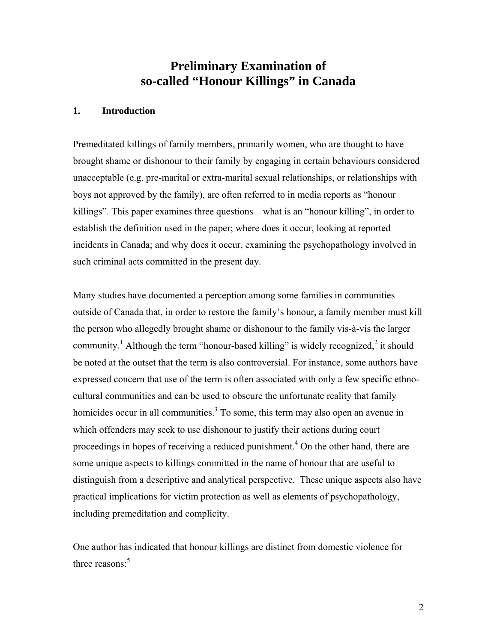# **Preliminary Examination of so-called "Honour Killings" in Canada**

#### **1. Introduction**

Premeditated killings of family members, primarily women, who are thought to have brought shame or dishonour to their family by engaging in certain behaviours considered unacceptable (e.g. pre-marital or extra-marital sexual relationships, or relationships with boys not approved by the family), are often referred to in media reports as "honour killings". This paper examines three questions – what is an "honour killing", in order to establish the definition used in the paper; where does it occur, looking at reported incidents in Canada; and why does it occur, examining the psychopathology involved in such criminal acts committed in the present day.

Many studies have documented a perception among some families in communities outside of Canada that, in order to restore the family's honour, a family member must kill the person who allegedly brought shame or dishonour to the family vis-à-vis the larger community.<sup>1</sup> Although the term "honour-based killing" is widely recognized,<sup>2</sup> it should be noted at the outset that the term is also controversial. For instance, some authors have expressed concern that use of the term is often associated with only a few specific ethnocultural communities and can be used to obscure the unfortunate reality that family homicides occur in all communities.<sup>3</sup> To some, this term may also open an avenue in which offenders may seek to use dishonour to justify their actions during court proceedings in hopes of receiving a reduced punishment.<sup>4</sup> On the other hand, there are some unique aspects to killings committed in the name of honour that are useful to distinguish from a descriptive and analytical perspective. These unique aspects also have practical implications for victim protection as well as elements of psychopathology, including premeditation and complicity.

One author has indicated that honour killings are distinct from domestic violence for three reasons: $5$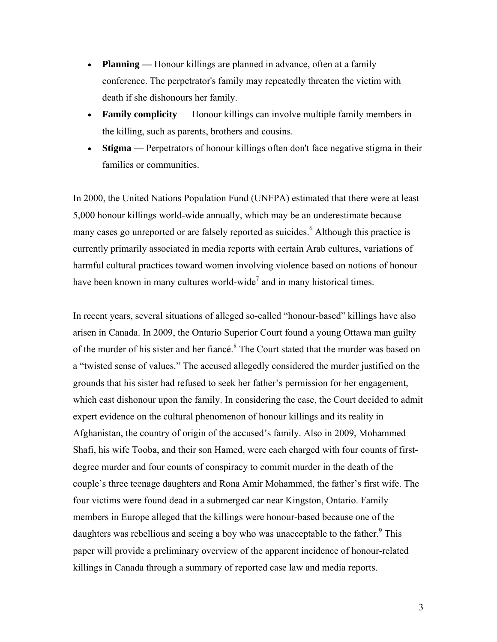- **Planning** Honour killings are planned in advance, often at a family conference. The perpetrator's family may repeatedly threaten the victim with death if she dishonours her family.
- **Family complicity** Honour killings can involve multiple family members in the killing, such as parents, brothers and cousins.
- **Stigma** Perpetrators of honour killings often don't face negative stigma in their families or communities.

In 2000, the United Nations Population Fund (UNFPA) estimated that there were at least 5,000 honour killings world-wide annually, which may be an underestimate because many cases go unreported or are falsely reported as suicides.<sup>6</sup> Although this practice is currently primarily associated in media reports with certain Arab cultures, variations of harmful cultural practices toward women involving violence based on notions of honour have been known in many cultures world-wide<sup>7</sup> and in many historical times.

In recent years, several situations of alleged so-called "honour-based" killings have also arisen in Canada. In 2009, the Ontario Superior Court found a young Ottawa man guilty of the murder of his sister and her fiance.<sup>8</sup> The Court stated that the murder was based on a "twisted sense of values." The accused allegedly considered the murder justified on the grounds that his sister had refused to seek her father's permission for her engagement, which cast dishonour upon the family. In considering the case, the Court decided to admit expert evidence on the cultural phenomenon of honour killings and its reality in Afghanistan, the country of origin of the accused's family. Also in 2009, Mohammed Shafi, his wife Tooba, and their son Hamed, were each charged with four counts of firstdegree murder and four counts of conspiracy to commit murder in the death of the couple's three teenage daughters and Rona Amir Mohammed, the father's first wife. The four victims were found dead in a submerged car near Kingston, Ontario. Family members in Europe alleged that the killings were honour-based because one of the daughters was rebellious and seeing a boy who was unacceptable to the father.<sup>9</sup> This paper will provide a preliminary overview of the apparent incidence of honour-related killings in Canada through a summary of reported case law and media reports.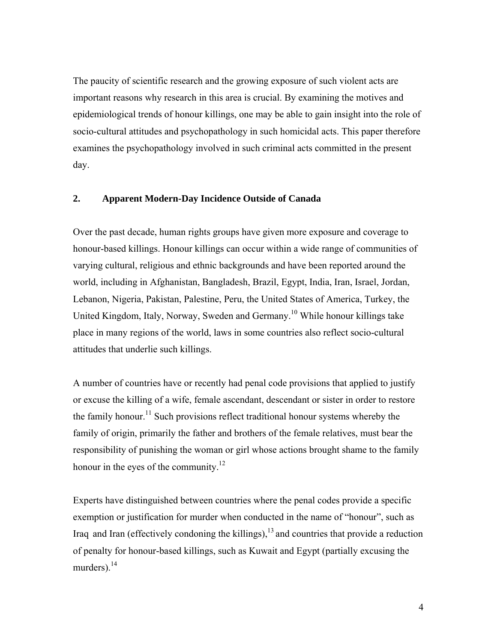The paucity of scientific research and the growing exposure of such violent acts are important reasons why research in this area is crucial. By examining the motives and epidemiological trends of honour killings, one may be able to gain insight into the role of socio-cultural attitudes and psychopathology in such homicidal acts. This paper therefore examines the psychopathology involved in such criminal acts committed in the present day.

#### **2. Apparent Modern-Day Incidence Outside of Canada**

Over the past decade, human rights groups have given more exposure and coverage to honour-based killings. Honour killings can occur within a wide range of communities of varying cultural, religious and ethnic backgrounds and have been reported around the world, including in Afghanistan, Bangladesh, Brazil, Egypt, India, Iran, Israel, Jordan, Lebanon, Nigeria, Pakistan, Palestine, Peru, the United States of America, Turkey, the United Kingdom, Italy, Norway, Sweden and Germany.10 While honour killings take place in many regions of the world, laws in some countries also reflect socio-cultural attitudes that underlie such killings.

A number of countries have or recently had penal code provisions that applied to justify or excuse the killing of a wife, female ascendant, descendant or sister in order to restore the family honour.<sup>11</sup> Such provisions reflect traditional honour systems whereby the family of origin, primarily the father and brothers of the female relatives, must bear the responsibility of punishing the woman or girl whose actions brought shame to the family honour in the eyes of the community.<sup>12</sup>

Experts have distinguished between countries where the penal codes provide a specific exemption or justification for murder when conducted in the name of "honour", such as Iraq and Iran (effectively condoning the killings), $13$  and countries that provide a reduction of penalty for honour-based killings, such as Kuwait and Egypt (partially excusing the murders). $^{14}$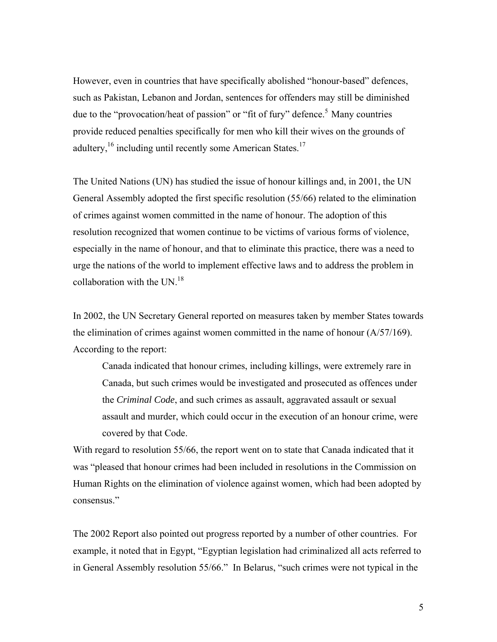However, even in countries that have specifically abolished "honour-based" defences, such as Pakistan, Lebanon and Jordan, sentences for offenders may still be diminished due to the "provocation/heat of passion" or "fit of fury" defence.<sup>5</sup> Many countries provide reduced penalties specifically for men who kill their wives on the grounds of adultery,  $16$  including until recently some American States.<sup>17</sup>

The United Nations (UN) has studied the issue of honour killings and, in 2001, the UN General Assembly adopted the first specific resolution (55/66) related to the elimination of crimes against women committed in the name of honour. The adoption of this resolution recognized that women continue to be victims of various forms of violence, especially in the name of honour, and that to eliminate this practice, there was a need to urge the nations of the world to implement effective laws and to address the problem in collaboration with the UN.<sup>18</sup>

In 2002, the UN Secretary General reported on measures taken by member States towards the elimination of crimes against women committed in the name of honour (A/57/169). According to the report:

Canada indicated that honour crimes, including killings, were extremely rare in Canada, but such crimes would be investigated and prosecuted as offences under the *Criminal Code*, and such crimes as assault, aggravated assault or sexual assault and murder, which could occur in the execution of an honour crime, were covered by that Code.

With regard to resolution 55/66, the report went on to state that Canada indicated that it was "pleased that honour crimes had been included in resolutions in the Commission on Human Rights on the elimination of violence against women, which had been adopted by consensus."

The 2002 Report also pointed out progress reported by a number of other countries. For example, it noted that in Egypt, "Egyptian legislation had criminalized all acts referred to in General Assembly resolution 55/66." In Belarus, "such crimes were not typical in the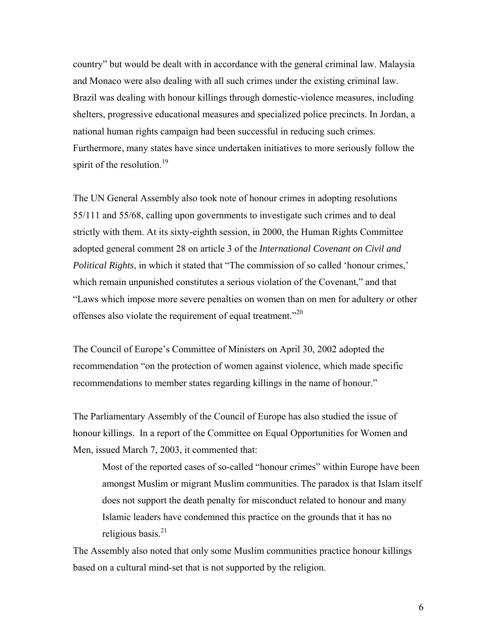country" but would be dealt with in accordance with the general criminal law. Malaysia and Monaco were also dealing with all such crimes under the existing criminal law. Brazil was dealing with honour killings through domestic-violence measures, including shelters, progressive educational measures and specialized police precincts. In Jordan, a national human rights campaign had been successful in reducing such crimes. Furthermore, many states have since undertaken initiatives to more seriously follow the spirit of the resolution.<sup>19</sup>

The UN General Assembly also took note of honour crimes in adopting resolutions 55/111 and 55/68, calling upon governments to investigate such crimes and to deal strictly with them. At its sixty-eighth session, in 2000, the Human Rights Committee adopted general comment 28 on article 3 of the *International Covenant on Civil and Political Rights*, in which it stated that "The commission of so called 'honour crimes,' which remain unpunished constitutes a serious violation of the Covenant," and that "Laws which impose more severe penalties on women than on men for adultery or other offenses also violate the requirement of equal treatment."<sup>20</sup>

The Council of Europe's Committee of Ministers on April 30, 2002 adopted the recommendation "on the protection of women against violence, which made specific recommendations to member states regarding killings in the name of honour."

The Parliamentary Assembly of the Council of Europe has also studied the issue of honour killings. In a report of the Committee on Equal Opportunities for Women and Men, issued March 7, 2003, it commented that:

Most of the reported cases of so-called "honour crimes" within Europe have been amongst Muslim or migrant Muslim communities. The paradox is that Islam itself does not support the death penalty for misconduct related to honour and many Islamic leaders have condemned this practice on the grounds that it has no religious basis. $21$ 

The Assembly also noted that only some Muslim communities practice honour killings based on a cultural mind-set that is not supported by the religion.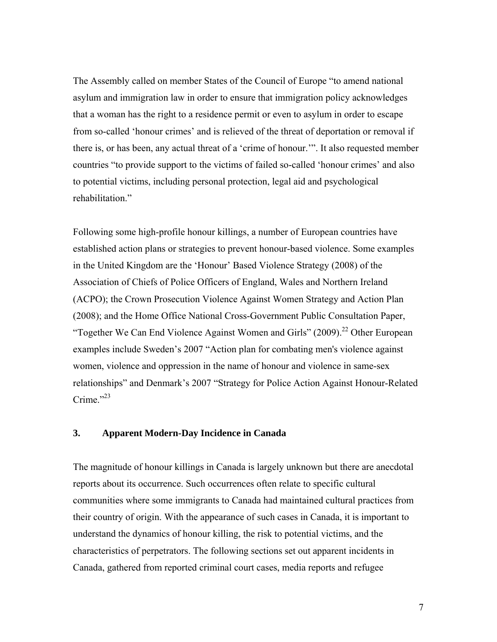The Assembly called on member States of the Council of Europe "to amend national asylum and immigration law in order to ensure that immigration policy acknowledges that a woman has the right to a residence permit or even to asylum in order to escape from so-called 'honour crimes' and is relieved of the threat of deportation or removal if there is, or has been, any actual threat of a 'crime of honour.'". It also requested member countries "to provide support to the victims of failed so-called 'honour crimes' and also to potential victims, including personal protection, legal aid and psychological rehabilitation."

Following some high-profile honour killings, a number of European countries have established action plans or strategies to prevent honour-based violence. Some examples in the United Kingdom are the 'Honour' Based Violence Strategy (2008) of the Association of Chiefs of Police Officers of England, Wales and Northern Ireland (ACPO); the Crown Prosecution Violence Against Women Strategy and Action Plan (2008); and the Home Office National Cross-Government Public Consultation Paper, "Together We Can End Violence Against Women and Girls" (2009).<sup>22</sup> Other European examples include Sweden's 2007 "Action plan for combating men's violence against women, violence and oppression in the name of honour and violence in same-sex relationships" and Denmark's 2007 "Strategy for Police Action Against Honour-Related Crime." $^{23}$ 

#### **3. Apparent Modern-Day Incidence in Canada**

The magnitude of honour killings in Canada is largely unknown but there are anecdotal reports about its occurrence. Such occurrences often relate to specific cultural communities where some immigrants to Canada had maintained cultural practices from their country of origin. With the appearance of such cases in Canada, it is important to understand the dynamics of honour killing, the risk to potential victims, and the characteristics of perpetrators. The following sections set out apparent incidents in Canada, gathered from reported criminal court cases, media reports and refugee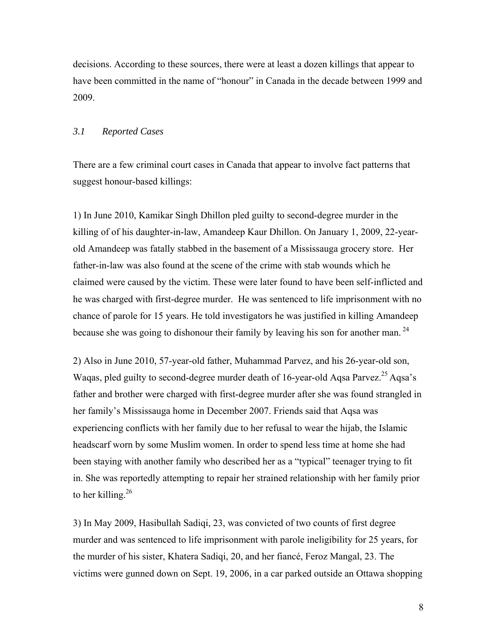decisions. According to these sources, there were at least a dozen killings that appear to have been committed in the name of "honour" in Canada in the decade between 1999 and 2009.

#### *3.1 Reported Cases*

There are a few criminal court cases in Canada that appear to involve fact patterns that suggest honour-based killings:

1) In June 2010, Kamikar Singh Dhillon pled guilty to second-degree murder in the killing of of his daughter-in-law, Amandeep Kaur Dhillon. On January 1, 2009, 22-yearold Amandeep was fatally stabbed in the basement of a Mississauga grocery store. Her father-in-law was also found at the scene of the crime with stab wounds which he claimed were caused by the victim. These were later found to have been self-inflicted and he was charged with first-degree murder. He was sentenced to life imprisonment with no chance of parole for 15 years. He told investigators he was justified in killing Amandeep because she was going to dishonour their family by leaving his son for another man.  $^{24}$ 

2) Also in June 2010, 57-year-old father, Muhammad Parvez, and his 26-year-old son, Waqas, pled guilty to second-degree murder death of 16-year-old Aqsa Parvez.<sup>25</sup> Aqsa's father and brother were charged with first-degree murder after she was found strangled in her family's Mississauga home in December 2007. Friends said that Aqsa was experiencing conflicts with her family due to her refusal to wear the hijab, the Islamic headscarf worn by some Muslim women. In order to spend less time at home she had been staying with another family who described her as a "typical" teenager trying to fit in. She was reportedly attempting to repair her strained relationship with her family prior to her killing. $26$ 

3) In May 2009, Hasibullah Sadiqi, 23, was convicted of two counts of first degree murder and was sentenced to life imprisonment with parole ineligibility for 25 years, for the murder of his sister, Khatera Sadiqi, 20, and her fiancé, Feroz Mangal, 23. The victims were gunned down on Sept. 19, 2006, in a car parked outside an Ottawa shopping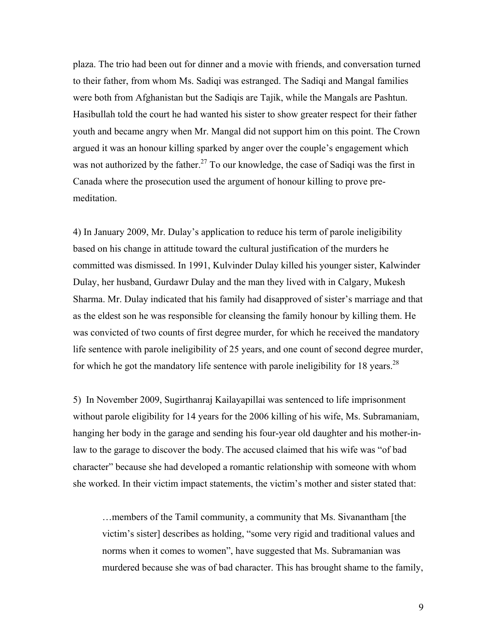plaza. The trio had been out for dinner and a movie with friends, and conversation turned to their father, from whom Ms. Sadiqi was estranged. The Sadiqi and Mangal families were both from Afghanistan but the Sadiqis are Tajik, while the Mangals are Pashtun. Hasibullah told the court he had wanted his sister to show greater respect for their father youth and became angry when Mr. Mangal did not support him on this point. The Crown argued it was an honour killing sparked by anger over the couple's engagement which was not authorized by the father.<sup>27</sup> To our knowledge, the case of Sadiqi was the first in Canada where the prosecution used the argument of honour killing to prove premeditation.

4) In January 2009, Mr. Dulay's application to reduce his term of parole ineligibility based on his change in attitude toward the cultural justification of the murders he committed was dismissed. In 1991, Kulvinder Dulay killed his younger sister, Kalwinder Dulay, her husband, Gurdawr Dulay and the man they lived with in Calgary, Mukesh Sharma. Mr. Dulay indicated that his family had disapproved of sister's marriage and that as the eldest son he was responsible for cleansing the family honour by killing them. He was convicted of two counts of first degree murder, for which he received the mandatory life sentence with parole ineligibility of 25 years, and one count of second degree murder, for which he got the mandatory life sentence with parole ineligibility for 18 years.<sup>28</sup>

5) In November 2009, Sugirthanraj Kailayapillai was sentenced to life imprisonment without parole eligibility for 14 years for the 2006 killing of his wife, Ms. Subramaniam, hanging her body in the garage and sending his four-year old daughter and his mother-inlaw to the garage to discover the body. The accused claimed that his wife was "of bad character" because she had developed a romantic relationship with someone with whom she worked. In their victim impact statements, the victim's mother and sister stated that:

…members of the Tamil community, a community that Ms. Sivanantham [the victim's sister] describes as holding, "some very rigid and traditional values and norms when it comes to women", have suggested that Ms. Subramanian was murdered because she was of bad character. This has brought shame to the family,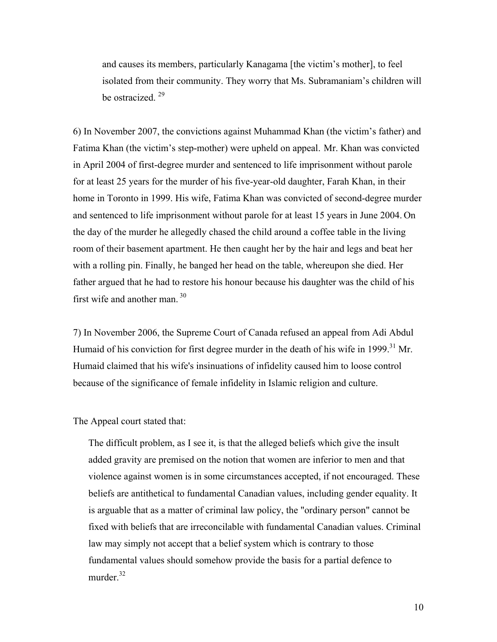and causes its members, particularly Kanagama [the victim's mother], to feel isolated from their community. They worry that Ms. Subramaniam's children will be ostracized.  $29$ 

6) In November 2007, the convictions against Muhammad Khan (the victim's father) and Fatima Khan (the victim's step-mother) were upheld on appeal. Mr. Khan was convicted in April 2004 of first-degree murder and sentenced to life imprisonment without parole for at least 25 years for the murder of his five-year-old daughter, Farah Khan, in their home in Toronto in 1999. His wife, Fatima Khan was convicted of second-degree murder and sentenced to life imprisonment without parole for at least 15 years in June 2004. On the day of the murder he allegedly chased the child around a coffee table in the living room of their basement apartment. He then caught her by the hair and legs and beat her with a rolling pin. Finally, he banged her head on the table, whereupon she died. Her father argued that he had to restore his honour because his daughter was the child of his first wife and another man.  $30<sup>30</sup>$ 

7) In November 2006, the Supreme Court of Canada refused an appeal from Adi Abdul Humaid of his conviction for first degree murder in the death of his wife in 1999.<sup>31</sup> Mr. Humaid claimed that his wife's insinuations of infidelity caused him to loose control because of the significance of female infidelity in Islamic religion and culture.

The Appeal court stated that:

The difficult problem, as I see it, is that the alleged beliefs which give the insult added gravity are premised on the notion that women are inferior to men and that violence against women is in some circumstances accepted, if not encouraged. These beliefs are antithetical to fundamental Canadian values, including gender equality. It is arguable that as a matter of criminal law policy, the "ordinary person" cannot be fixed with beliefs that are irreconcilable with fundamental Canadian values. Criminal law may simply not accept that a belief system which is contrary to those fundamental values should somehow provide the basis for a partial defence to murder.<sup>32</sup>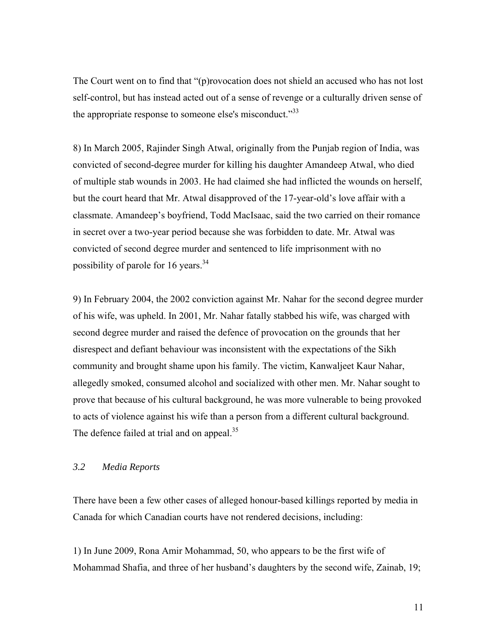The Court went on to find that "(p)rovocation does not shield an accused who has not lost self-control, but has instead acted out of a sense of revenge or a culturally driven sense of the appropriate response to someone else's misconduct."<sup>33</sup>

8) In March 2005, Rajinder Singh Atwal, originally from the Punjab region of India, was convicted of second-degree murder for killing his daughter Amandeep Atwal, who died of multiple stab wounds in 2003. He had claimed she had inflicted the wounds on herself, but the court heard that Mr. Atwal disapproved of the 17-year-old's love affair with a classmate. Amandeep's boyfriend, Todd MacIsaac, said the two carried on their romance in secret over a two-year period because she was forbidden to date. Mr. Atwal was convicted of second degree murder and sentenced to life imprisonment with no possibility of parole for 16 years. $34$ 

9) In February 2004, the 2002 conviction against Mr. Nahar for the second degree murder of his wife, was upheld. In 2001, Mr. Nahar fatally stabbed his wife, was charged with second degree murder and raised the defence of provocation on the grounds that her disrespect and defiant behaviour was inconsistent with the expectations of the Sikh community and brought shame upon his family. The victim, Kanwaljeet Kaur Nahar, allegedly smoked, consumed alcohol and socialized with other men. Mr. Nahar sought to prove that because of his cultural background, he was more vulnerable to being provoked to acts of violence against his wife than a person from a different cultural background. The defence failed at trial and on appeal.<sup>35</sup>

#### *3.2 Media Reports*

There have been a few other cases of alleged honour-based killings reported by media in Canada for which Canadian courts have not rendered decisions, including:

1) In June 2009, Rona Amir Mohammad, 50, who appears to be the first wife of Mohammad Shafia, and three of her husband's daughters by the second wife, Zainab, 19;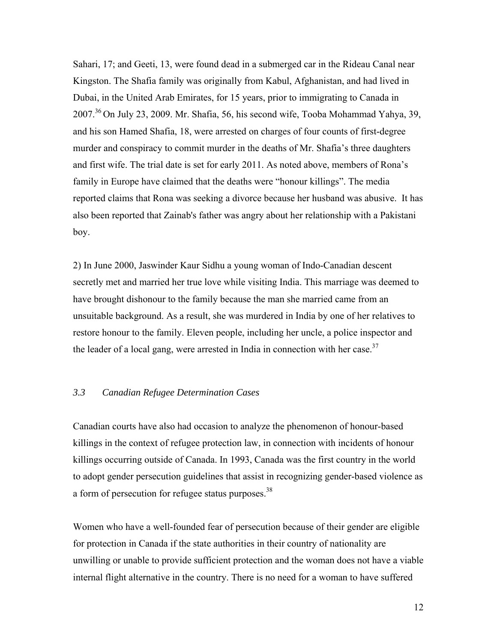Sahari, 17; and Geeti, 13, were found dead in a submerged car in the Rideau Canal near Kingston. The Shafia family was originally from Kabul, Afghanistan, and had lived in Dubai, in the United Arab Emirates, for 15 years, prior to immigrating to Canada in 2007.36 On July 23, 2009. Mr. Shafia, 56, his second wife, Tooba Mohammad Yahya, 39, and his son Hamed Shafia, 18, were arrested on charges of four counts of first-degree murder and conspiracy to commit murder in the deaths of Mr. Shafia's three daughters and first wife. The trial date is set for early 2011. As noted above, members of Rona's family in Europe have claimed that the deaths were "honour killings". The media reported claims that Rona was seeking a divorce because her husband was abusive. It has also been reported that Zainab's father was angry about her relationship with a Pakistani boy.

2) In June 2000, Jaswinder Kaur Sidhu a young woman of Indo-Canadian descent secretly met and married her true love while visiting India. This marriage was deemed to have brought dishonour to the family because the man she married came from an unsuitable background. As a result, she was murdered in India by one of her relatives to restore honour to the family. Eleven people, including her uncle, a police inspector and the leader of a local gang, were arrested in India in connection with her case.<sup>37</sup>

#### *3.3 Canadian Refugee Determination Cases*

Canadian courts have also had occasion to analyze the phenomenon of honour-based killings in the context of refugee protection law, in connection with incidents of honour killings occurring outside of Canada. In 1993, Canada was the first country in the world to adopt gender persecution guidelines that assist in recognizing gender-based violence as a form of persecution for refugee status purposes.<sup>38</sup>

Women who have a well-founded fear of persecution because of their gender are eligible for protection in Canada if the state authorities in their country of nationality are unwilling or unable to provide sufficient protection and the woman does not have a viable internal flight alternative in the country. There is no need for a woman to have suffered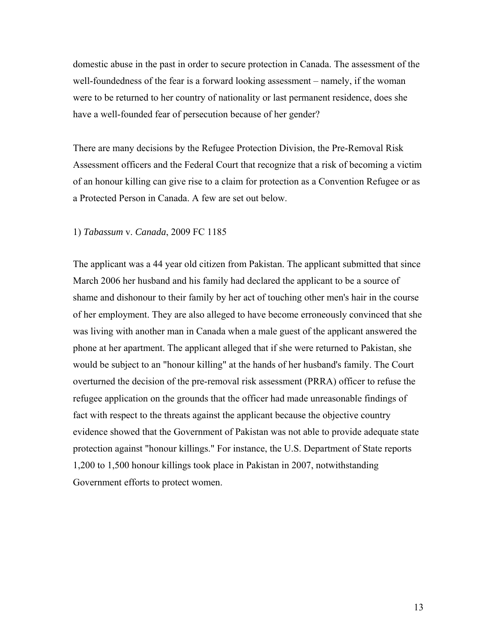domestic abuse in the past in order to secure protection in Canada. The assessment of the well-foundedness of the fear is a forward looking assessment – namely, if the woman were to be returned to her country of nationality or last permanent residence, does she have a well-founded fear of persecution because of her gender?

There are many decisions by the Refugee Protection Division, the Pre-Removal Risk Assessment officers and the Federal Court that recognize that a risk of becoming a victim of an honour killing can give rise to a claim for protection as a Convention Refugee or as a Protected Person in Canada. A few are set out below.

#### 1) *Tabassum* v. *Canada*, 2009 FC 1185

The applicant was a 44 year old citizen from Pakistan. The applicant submitted that since March 2006 her husband and his family had declared the applicant to be a source of shame and dishonour to their family by her act of touching other men's hair in the course of her employment. They are also alleged to have become erroneously convinced that she was living with another man in Canada when a male guest of the applicant answered the phone at her apartment. The applicant alleged that if she were returned to Pakistan, she would be subject to an "honour killing" at the hands of her husband's family. The Court overturned the decision of the pre-removal risk assessment (PRRA) officer to refuse the refugee application on the grounds that the officer had made unreasonable findings of fact with respect to the threats against the applicant because the objective country evidence showed that the Government of Pakistan was not able to provide adequate state protection against "honour killings." For instance, the U.S. Department of State reports 1,200 to 1,500 honour killings took place in Pakistan in 2007, notwithstanding Government efforts to protect women.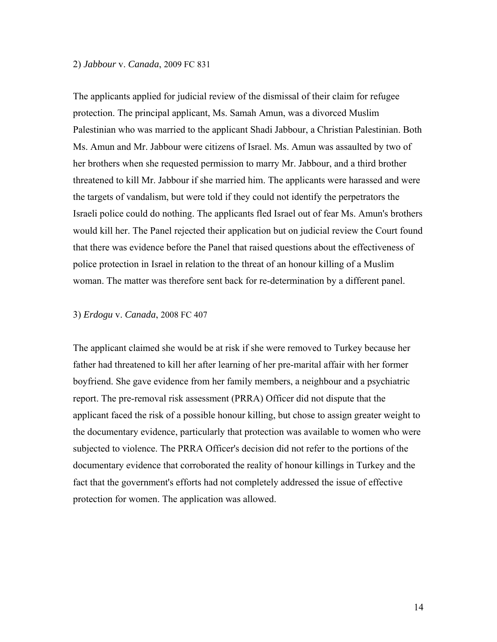#### 2) *Jabbour* v. *Canada*, 2009 FC 831

The applicants applied for judicial review of the dismissal of their claim for refugee protection. The principal applicant, Ms. Samah Amun, was a divorced Muslim Palestinian who was married to the applicant Shadi Jabbour, a Christian Palestinian. Both Ms. Amun and Mr. Jabbour were citizens of Israel. Ms. Amun was assaulted by two of her brothers when she requested permission to marry Mr. Jabbour, and a third brother threatened to kill Mr. Jabbour if she married him. The applicants were harassed and were the targets of vandalism, but were told if they could not identify the perpetrators the Israeli police could do nothing. The applicants fled Israel out of fear Ms. Amun's brothers would kill her. The Panel rejected their application but on judicial review the Court found that there was evidence before the Panel that raised questions about the effectiveness of police protection in Israel in relation to the threat of an honour killing of a Muslim woman. The matter was therefore sent back for re-determination by a different panel.

#### 3) *Erdogu* v. *Canada*, 2008 FC 407

The applicant claimed she would be at risk if she were removed to Turkey because her father had threatened to kill her after learning of her pre-marital affair with her former boyfriend. She gave evidence from her family members, a neighbour and a psychiatric report. The pre-removal risk assessment (PRRA) Officer did not dispute that the applicant faced the risk of a possible honour killing, but chose to assign greater weight to the documentary evidence, particularly that protection was available to women who were subjected to violence. The PRRA Officer's decision did not refer to the portions of the documentary evidence that corroborated the reality of honour killings in Turkey and the fact that the government's efforts had not completely addressed the issue of effective protection for women. The application was allowed.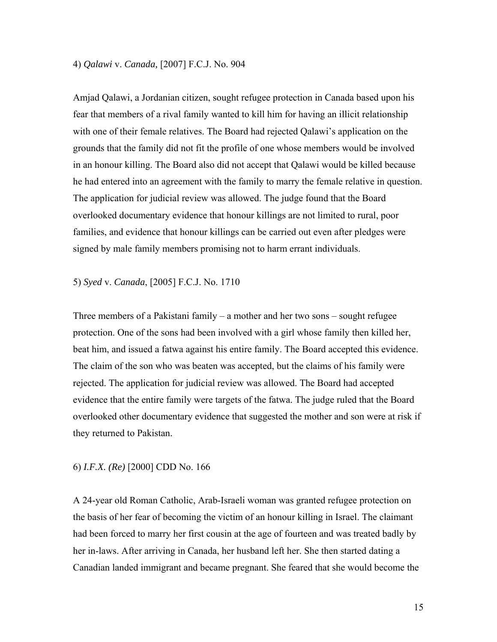#### 4) *Qalawi* v. *Canada,* [2007] F.C.J. No. 904

Amjad Qalawi, a Jordanian citizen, sought refugee protection in Canada based upon his fear that members of a rival family wanted to kill him for having an illicit relationship with one of their female relatives. The Board had rejected Qalawi's application on the grounds that the family did not fit the profile of one whose members would be involved in an honour killing. The Board also did not accept that Qalawi would be killed because he had entered into an agreement with the family to marry the female relative in question. The application for judicial review was allowed. The judge found that the Board overlooked documentary evidence that honour killings are not limited to rural, poor families, and evidence that honour killings can be carried out even after pledges were signed by male family members promising not to harm errant individuals.

#### 5) *Syed* v. *Canada*, [2005] F.C.J. No. 1710

Three members of a Pakistani family – a mother and her two sons – sought refugee protection. One of the sons had been involved with a girl whose family then killed her, beat him, and issued a fatwa against his entire family. The Board accepted this evidence. The claim of the son who was beaten was accepted, but the claims of his family were rejected. The application for judicial review was allowed. The Board had accepted evidence that the entire family were targets of the fatwa. The judge ruled that the Board overlooked other documentary evidence that suggested the mother and son were at risk if they returned to Pakistan.

#### 6) *I.F.X. (Re)* [2000] CDD No. 166

A 24-year old Roman Catholic, Arab-Israeli woman was granted refugee protection on the basis of her fear of becoming the victim of an honour killing in Israel. The claimant had been forced to marry her first cousin at the age of fourteen and was treated badly by her in-laws. After arriving in Canada, her husband left her. She then started dating a Canadian landed immigrant and became pregnant. She feared that she would become the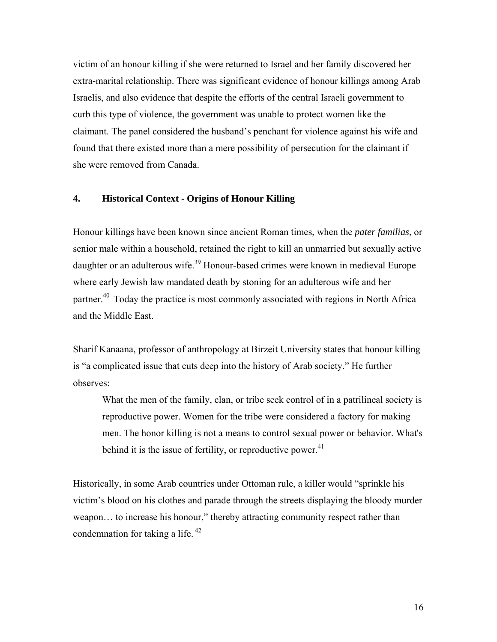victim of an honour killing if she were returned to Israel and her family discovered her extra-marital relationship. There was significant evidence of honour killings among Arab Israelis, and also evidence that despite the efforts of the central Israeli government to curb this type of violence, the government was unable to protect women like the claimant. The panel considered the husband's penchant for violence against his wife and found that there existed more than a mere possibility of persecution for the claimant if she were removed from Canada.

#### **4. Historical Context - Origins of Honour Killing**

Honour killings have been known since ancient Roman times, when the *pater familias*, or senior male within a household, retained the right to kill an unmarried but sexually active daughter or an adulterous wife.<sup>39</sup> Honour-based crimes were known in medieval Europe where early Jewish law mandated death by stoning for an adulterous wife and her partner.<sup>40</sup> Today the practice is most commonly associated with regions in North Africa and the Middle East.

Sharif Kanaana, professor of anthropology at Birzeit University states that honour killing is "a complicated issue that cuts deep into the history of Arab society." He further observes:

What the men of the family, clan, or tribe seek control of in a patrilineal society is reproductive power. Women for the tribe were considered a factory for making men. The honor killing is not a means to control sexual power or behavior. What's behind it is the issue of fertility, or reproductive power.<sup>41</sup>

Historically, in some Arab countries under Ottoman rule, a killer would "sprinkle his victim's blood on his clothes and parade through the streets displaying the bloody murder weapon… to increase his honour," thereby attracting community respect rather than condemnation for taking a life. 42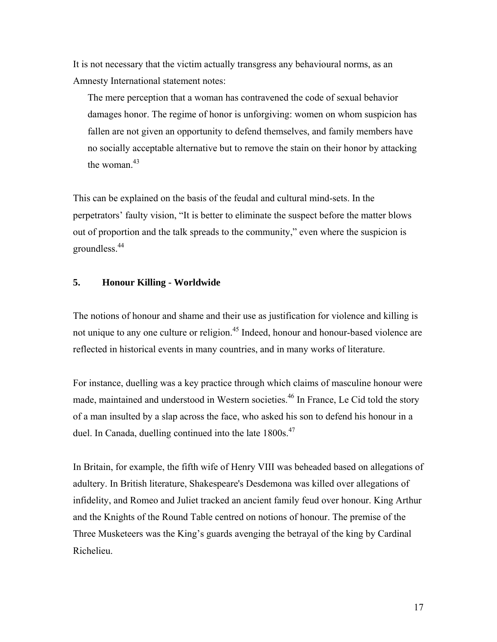It is not necessary that the victim actually transgress any behavioural norms, as an Amnesty International statement notes:

The mere perception that a woman has contravened the code of sexual behavior damages honor. The regime of honor is unforgiving: women on whom suspicion has fallen are not given an opportunity to defend themselves, and family members have no socially acceptable alternative but to remove the stain on their honor by attacking the woman.<sup>43</sup>

This can be explained on the basis of the feudal and cultural mind-sets. In the perpetrators' faulty vision, "It is better to eliminate the suspect before the matter blows out of proportion and the talk spreads to the community," even where the suspicion is groundless.44

## **5. Honour Killing - Worldwide**

The notions of honour and shame and their use as justification for violence and killing is not unique to any one culture or religion.<sup>45</sup> Indeed, honour and honour-based violence are reflected in historical events in many countries, and in many works of literature.

For instance, duelling was a key practice through which claims of masculine honour were made, maintained and understood in Western societies.<sup>46</sup> In France, Le Cid told the story of a man insulted by a slap across the face, who asked his son to defend his honour in a duel. In Canada, duelling continued into the late 1800s.<sup>47</sup>

In Britain, for example, the fifth wife of Henry VIII was beheaded based on allegations of adultery. In British literature, Shakespeare's Desdemona was killed over allegations of infidelity, and Romeo and Juliet tracked an ancient family feud over honour. King Arthur and the Knights of the Round Table centred on notions of honour. The premise of the Three Musketeers was the King's guards avenging the betrayal of the king by Cardinal Richelieu.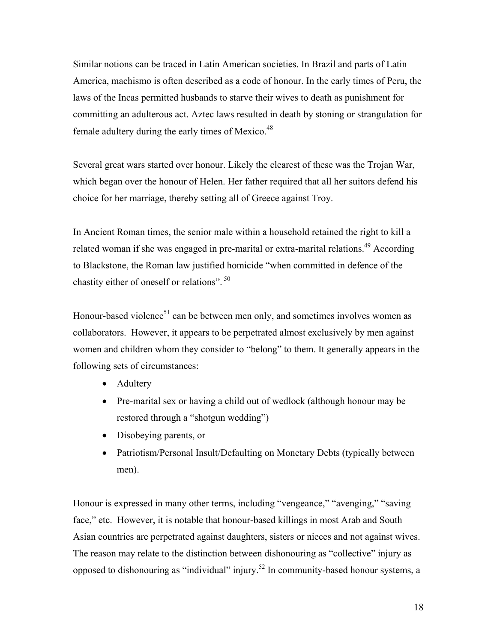Similar notions can be traced in Latin American societies. In Brazil and parts of Latin America, machismo is often described as a code of honour. In the early times of Peru, the laws of the Incas permitted husbands to starve their wives to death as punishment for committing an adulterous act. Aztec laws resulted in death by stoning or strangulation for female adultery during the early times of Mexico.<sup>48</sup>

Several great wars started over honour. Likely the clearest of these was the Trojan War, which began over the honour of Helen. Her father required that all her suitors defend his choice for her marriage, thereby setting all of Greece against Troy.

In Ancient Roman times, the senior male within a household retained the right to kill a related woman if she was engaged in pre-marital or extra-marital relations.<sup>49</sup> According to Blackstone, the Roman law justified homicide "when committed in defence of the chastity either of oneself or relations".<sup>50</sup>

Honour-based violence<sup>51</sup> can be between men only, and sometimes involves women as collaborators. However, it appears to be perpetrated almost exclusively by men against women and children whom they consider to "belong" to them. It generally appears in the following sets of circumstances:

- Adultery
- Pre-marital sex or having a child out of wedlock (although honour may be restored through a "shotgun wedding")
- Disobeying parents, or
- Patriotism/Personal Insult/Defaulting on Monetary Debts (typically between men).

Honour is expressed in many other terms, including "vengeance," "avenging," "saving face," etc. However, it is notable that honour-based killings in most Arab and South Asian countries are perpetrated against daughters, sisters or nieces and not against wives. The reason may relate to the distinction between dishonouring as "collective" injury as opposed to dishonouring as "individual" injury.52 In community-based honour systems, a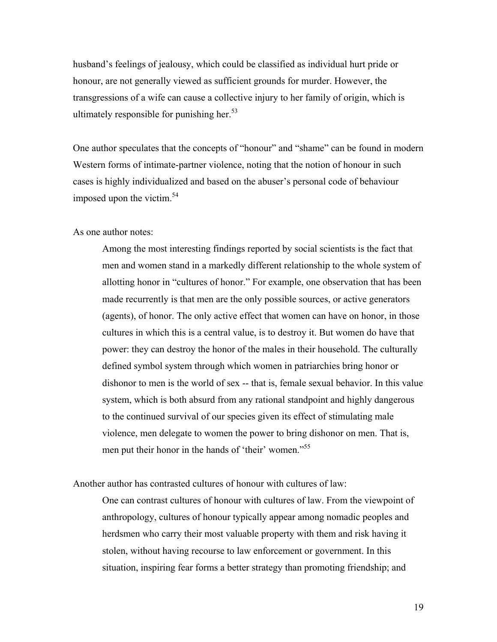husband's feelings of jealousy, which could be classified as individual hurt pride or honour, are not generally viewed as sufficient grounds for murder. However, the transgressions of a wife can cause a collective injury to her family of origin, which is ultimately responsible for punishing her. $53$ 

One author speculates that the concepts of "honour" and "shame" can be found in modern Western forms of intimate-partner violence, noting that the notion of honour in such cases is highly individualized and based on the abuser's personal code of behaviour imposed upon the victim.<sup>54</sup>

As one author notes:

Among the most interesting findings reported by social scientists is the fact that men and women stand in a markedly different relationship to the whole system of allotting honor in "cultures of honor." For example, one observation that has been made recurrently is that men are the only possible sources, or active generators (agents), of honor. The only active effect that women can have on honor, in those cultures in which this is a central value, is to destroy it. But women do have that power: they can destroy the honor of the males in their household. The culturally defined symbol system through which women in patriarchies bring honor or dishonor to men is the world of sex -- that is, female sexual behavior. In this value system, which is both absurd from any rational standpoint and highly dangerous to the continued survival of our species given its effect of stimulating male violence, men delegate to women the power to bring dishonor on men. That is, men put their honor in the hands of 'their' women."<sup>55</sup>

Another author has contrasted cultures of honour with cultures of law:

One can contrast cultures of honour with cultures of law. From the viewpoint of anthropology, cultures of honour typically appear among nomadic peoples and herdsmen who carry their most valuable property with them and risk having it stolen, without having recourse to law enforcement or government. In this situation, inspiring fear forms a better strategy than promoting friendship; and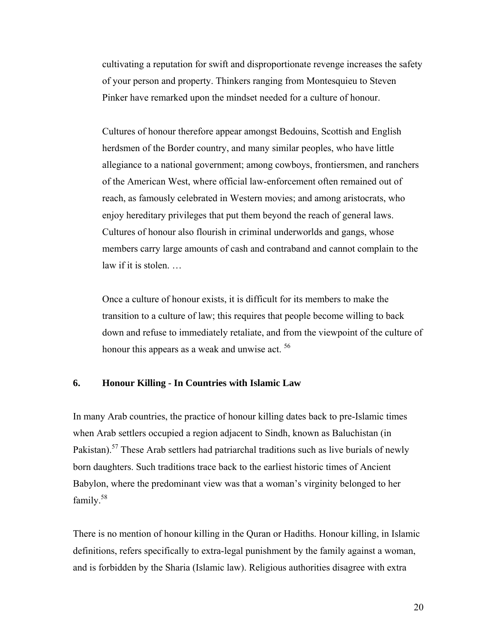cultivating a reputation for swift and disproportionate revenge increases the safety of your person and property. Thinkers ranging from Montesquieu to Steven Pinker have remarked upon the mindset needed for a culture of honour.

Cultures of honour therefore appear amongst Bedouins, Scottish and English herdsmen of the Border country, and many similar peoples, who have little allegiance to a national government; among cowboys, frontiersmen, and ranchers of the American West, where official law-enforcement often remained out of reach, as famously celebrated in Western movies; and among aristocrats, who enjoy hereditary privileges that put them beyond the reach of general laws. Cultures of honour also flourish in criminal underworlds and gangs, whose members carry large amounts of cash and contraband and cannot complain to the law if it is stolen. …

Once a culture of honour exists, it is difficult for its members to make the transition to a culture of law; this requires that people become willing to back down and refuse to immediately retaliate, and from the viewpoint of the culture of honour this appears as a weak and unwise act. <sup>56</sup>

#### **6. Honour Killing - In Countries with Islamic Law**

In many Arab countries, the practice of honour killing dates back to pre-Islamic times when Arab settlers occupied a region adjacent to Sindh, known as Baluchistan (in Pakistan).<sup>57</sup> These Arab settlers had patriarchal traditions such as live burials of newly born daughters. Such traditions trace back to the earliest historic times of Ancient Babylon, where the predominant view was that a woman's virginity belonged to her family.58

There is no mention of honour killing in the Quran or Hadiths. Honour killing, in Islamic definitions, refers specifically to extra-legal punishment by the family against a woman, and is forbidden by the Sharia (Islamic law). Religious authorities disagree with extra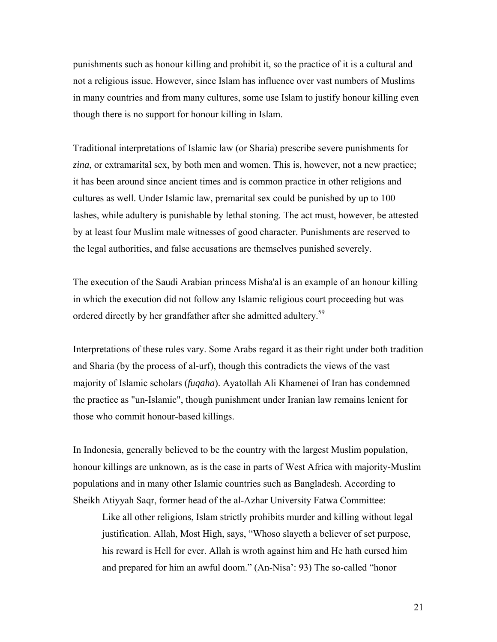punishments such as honour killing and prohibit it, so the practice of it is a cultural and not a religious issue. However, since Islam has influence over vast numbers of Muslims in many countries and from many cultures, some use Islam to justify honour killing even though there is no support for honour killing in Islam.

Traditional interpretations of Islamic law (or Sharia) prescribe severe punishments for *zina*, or extramarital sex, by both men and women. This is, however, not a new practice; it has been around since ancient times and is common practice in other religions and cultures as well. Under Islamic law, premarital sex could be punished by up to 100 lashes, while adultery is punishable by lethal stoning. The act must, however, be attested by at least four Muslim male witnesses of good character. Punishments are reserved to the legal authorities, and false accusations are themselves punished severely.

The execution of the Saudi Arabian princess Misha'al is an example of an honour killing in which the execution did not follow any Islamic religious court proceeding but was ordered directly by her grandfather after she admitted adultery.<sup>59</sup>

Interpretations of these rules vary. Some Arabs regard it as their right under both tradition and Sharia (by the process of al-urf), though this contradicts the views of the vast majority of Islamic scholars (*fuqaha*). Ayatollah Ali Khamenei of Iran has condemned the practice as "un-Islamic", though punishment under Iranian law remains lenient for those who commit honour-based killings.

In Indonesia, generally believed to be the country with the largest Muslim population, honour killings are unknown, as is the case in parts of West Africa with majority-Muslim populations and in many other Islamic countries such as Bangladesh. According to Sheikh Atiyyah Saqr, former head of the al-Azhar University Fatwa Committee:

Like all other religions, Islam strictly prohibits murder and killing without legal justification. Allah, Most High, says, "Whoso slayeth a believer of set purpose, his reward is Hell for ever. Allah is wroth against him and He hath cursed him and prepared for him an awful doom." (An-Nisa': 93) The so-called "honor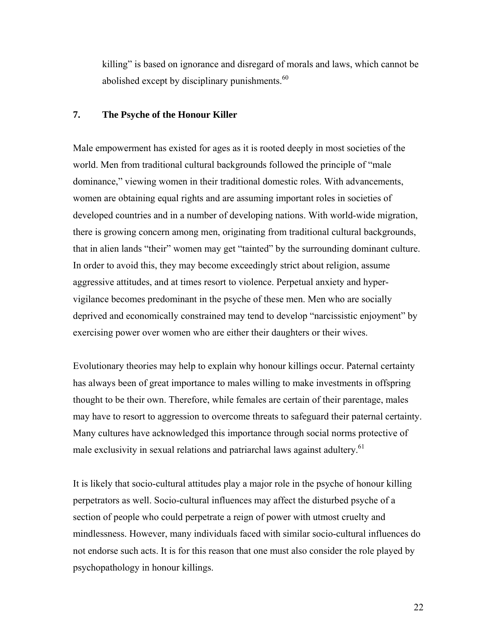killing" is based on ignorance and disregard of morals and laws, which cannot be abolished except by disciplinary punishments. $60$ 

#### **7. The Psyche of the Honour Killer**

Male empowerment has existed for ages as it is rooted deeply in most societies of the world. Men from traditional cultural backgrounds followed the principle of "male dominance," viewing women in their traditional domestic roles. With advancements, women are obtaining equal rights and are assuming important roles in societies of developed countries and in a number of developing nations. With world-wide migration, there is growing concern among men, originating from traditional cultural backgrounds, that in alien lands "their" women may get "tainted" by the surrounding dominant culture. In order to avoid this, they may become exceedingly strict about religion, assume aggressive attitudes, and at times resort to violence. Perpetual anxiety and hypervigilance becomes predominant in the psyche of these men. Men who are socially deprived and economically constrained may tend to develop "narcissistic enjoyment" by exercising power over women who are either their daughters or their wives.

Evolutionary theories may help to explain why honour killings occur. Paternal certainty has always been of great importance to males willing to make investments in offspring thought to be their own. Therefore, while females are certain of their parentage, males may have to resort to aggression to overcome threats to safeguard their paternal certainty. Many cultures have acknowledged this importance through social norms protective of male exclusivity in sexual relations and patriarchal laws against adultery.<sup>61</sup>

It is likely that socio-cultural attitudes play a major role in the psyche of honour killing perpetrators as well. Socio-cultural influences may affect the disturbed psyche of a section of people who could perpetrate a reign of power with utmost cruelty and mindlessness. However, many individuals faced with similar socio-cultural influences do not endorse such acts. It is for this reason that one must also consider the role played by psychopathology in honour killings.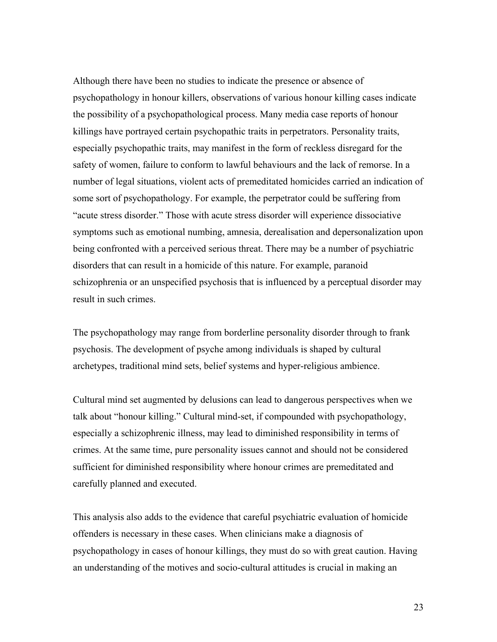Although there have been no studies to indicate the presence or absence of psychopathology in honour killers, observations of various honour killing cases indicate the possibility of a psychopathological process. Many media case reports of honour killings have portrayed certain psychopathic traits in perpetrators. Personality traits, especially psychopathic traits, may manifest in the form of reckless disregard for the safety of women, failure to conform to lawful behaviours and the lack of remorse. In a number of legal situations, violent acts of premeditated homicides carried an indication of some sort of psychopathology. For example, the perpetrator could be suffering from "acute stress disorder." Those with acute stress disorder will experience dissociative symptoms such as emotional numbing, amnesia, derealisation and depersonalization upon being confronted with a perceived serious threat. There may be a number of psychiatric disorders that can result in a homicide of this nature. For example, paranoid schizophrenia or an unspecified psychosis that is influenced by a perceptual disorder may result in such crimes.

The psychopathology may range from borderline personality disorder through to frank psychosis. The development of psyche among individuals is shaped by cultural archetypes, traditional mind sets, belief systems and hyper-religious ambience.

Cultural mind set augmented by delusions can lead to dangerous perspectives when we talk about "honour killing." Cultural mind-set, if compounded with psychopathology, especially a schizophrenic illness, may lead to diminished responsibility in terms of crimes. At the same time, pure personality issues cannot and should not be considered sufficient for diminished responsibility where honour crimes are premeditated and carefully planned and executed.

This analysis also adds to the evidence that careful psychiatric evaluation of homicide offenders is necessary in these cases. When clinicians make a diagnosis of psychopathology in cases of honour killings, they must do so with great caution. Having an understanding of the motives and socio-cultural attitudes is crucial in making an

23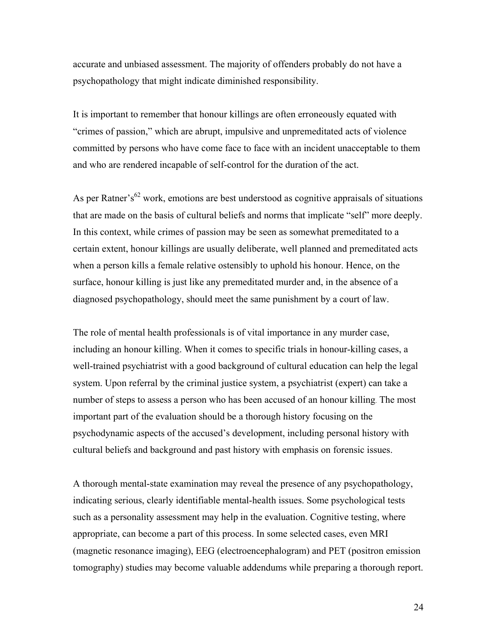accurate and unbiased assessment. The majority of offenders probably do not have a psychopathology that might indicate diminished responsibility.

It is important to remember that honour killings are often erroneously equated with "crimes of passion," which are abrupt, impulsive and unpremeditated acts of violence committed by persons who have come face to face with an incident unacceptable to them and who are rendered incapable of self-control for the duration of the act.

As per Ratner's<sup>62</sup> work, emotions are best understood as cognitive appraisals of situations that are made on the basis of cultural beliefs and norms that implicate "self" more deeply. In this context, while crimes of passion may be seen as somewhat premeditated to a certain extent, honour killings are usually deliberate, well planned and premeditated acts when a person kills a female relative ostensibly to uphold his honour. Hence, on the surface, honour killing is just like any premeditated murder and, in the absence of a diagnosed psychopathology, should meet the same punishment by a court of law.

The role of mental health professionals is of vital importance in any murder case, including an honour killing. When it comes to specific trials in honour-killing cases, a well-trained psychiatrist with a good background of cultural education can help the legal system. Upon referral by the criminal justice system, a psychiatrist (expert) can take a number of steps to assess a person who has been accused of an honour killing. The most important part of the evaluation should be a thorough history focusing on the psychodynamic aspects of the accused's development, including personal history with cultural beliefs and background and past history with emphasis on forensic issues.

A thorough mental-state examination may reveal the presence of any psychopathology, indicating serious, clearly identifiable mental-health issues. Some psychological tests such as a personality assessment may help in the evaluation. Cognitive testing, where appropriate, can become a part of this process. In some selected cases, even MRI (magnetic resonance imaging), EEG (electroencephalogram) and PET (positron emission tomography) studies may become valuable addendums while preparing a thorough report.

24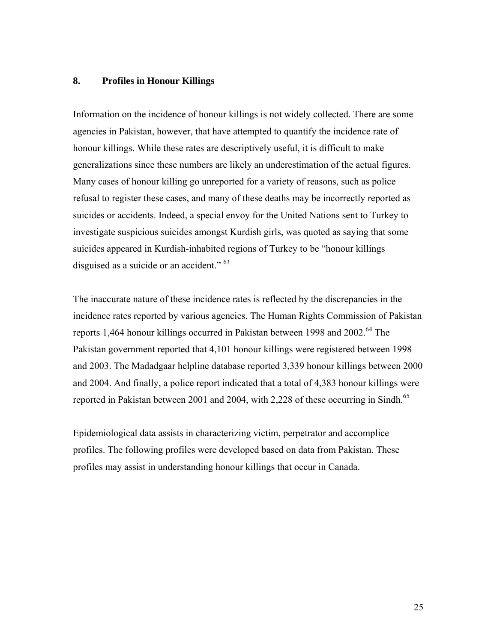#### **8. Profiles in Honour Killings**

Information on the incidence of honour killings is not widely collected. There are some agencies in Pakistan, however, that have attempted to quantify the incidence rate of honour killings. While these rates are descriptively useful, it is difficult to make generalizations since these numbers are likely an underestimation of the actual figures. Many cases of honour killing go unreported for a variety of reasons, such as police refusal to register these cases, and many of these deaths may be incorrectly reported as suicides or accidents. Indeed, a special envoy for the United Nations sent to Turkey to investigate suspicious suicides amongst Kurdish girls, was quoted as saying that some suicides appeared in Kurdish-inhabited regions of Turkey to be "honour killings disguised as a suicide or an accident." <sup>63</sup>

The inaccurate nature of these incidence rates is reflected by the discrepancies in the incidence rates reported by various agencies. The Human Rights Commission of Pakistan reports 1,464 honour killings occurred in Pakistan between 1998 and  $2002<sup>64</sup>$  The Pakistan government reported that 4,101 honour killings were registered between 1998 and 2003. The Madadgaar helpline database reported 3,339 honour killings between 2000 and 2004. And finally, a police report indicated that a total of 4,383 honour killings were reported in Pakistan between 2001 and 2004, with 2,228 of these occurring in Sindh.<sup>65</sup>

Epidemiological data assists in characterizing victim, perpetrator and accomplice profiles. The following profiles were developed based on data from Pakistan. These profiles may assist in understanding honour killings that occur in Canada.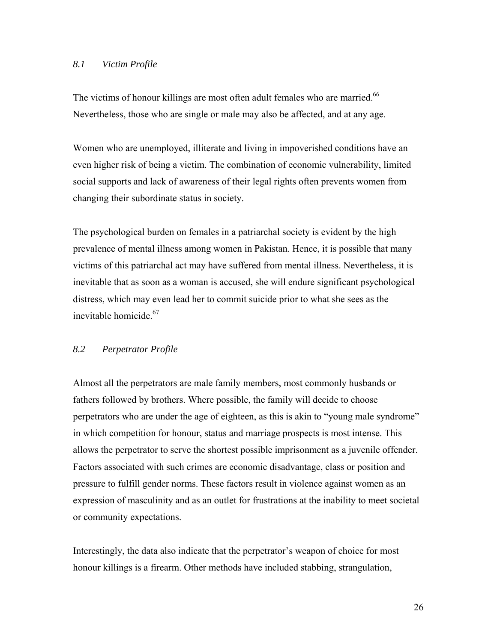#### *8.1 Victim Profile*

The victims of honour killings are most often adult females who are married.<sup>66</sup> Nevertheless, those who are single or male may also be affected, and at any age.

Women who are unemployed, illiterate and living in impoverished conditions have an even higher risk of being a victim. The combination of economic vulnerability, limited social supports and lack of awareness of their legal rights often prevents women from changing their subordinate status in society.

The psychological burden on females in a patriarchal society is evident by the high prevalence of mental illness among women in Pakistan. Hence, it is possible that many victims of this patriarchal act may have suffered from mental illness. Nevertheless, it is inevitable that as soon as a woman is accused, she will endure significant psychological distress, which may even lead her to commit suicide prior to what she sees as the inevitable homicide.67

#### *8.2 Perpetrator Profile*

Almost all the perpetrators are male family members, most commonly husbands or fathers followed by brothers. Where possible, the family will decide to choose perpetrators who are under the age of eighteen, as this is akin to "young male syndrome" in which competition for honour, status and marriage prospects is most intense. This allows the perpetrator to serve the shortest possible imprisonment as a juvenile offender. Factors associated with such crimes are economic disadvantage, class or position and pressure to fulfill gender norms. These factors result in violence against women as an expression of masculinity and as an outlet for frustrations at the inability to meet societal or community expectations.

Interestingly, the data also indicate that the perpetrator's weapon of choice for most honour killings is a firearm. Other methods have included stabbing, strangulation,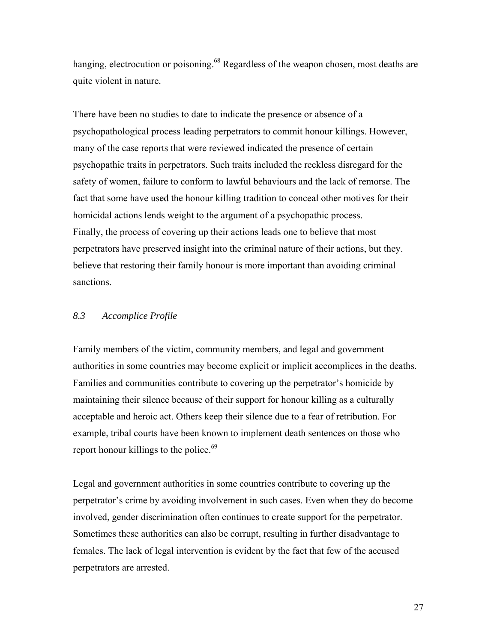hanging, electrocution or poisoning.<sup>68</sup> Regardless of the weapon chosen, most deaths are quite violent in nature.

There have been no studies to date to indicate the presence or absence of a psychopathological process leading perpetrators to commit honour killings. However, many of the case reports that were reviewed indicated the presence of certain psychopathic traits in perpetrators. Such traits included the reckless disregard for the safety of women, failure to conform to lawful behaviours and the lack of remorse. The fact that some have used the honour killing tradition to conceal other motives for their homicidal actions lends weight to the argument of a psychopathic process. Finally, the process of covering up their actions leads one to believe that most perpetrators have preserved insight into the criminal nature of their actions, but they. believe that restoring their family honour is more important than avoiding criminal sanctions.

#### *8.3 Accomplice Profile*

Family members of the victim, community members, and legal and government authorities in some countries may become explicit or implicit accomplices in the deaths. Families and communities contribute to covering up the perpetrator's homicide by maintaining their silence because of their support for honour killing as a culturally acceptable and heroic act. Others keep their silence due to a fear of retribution. For example, tribal courts have been known to implement death sentences on those who report honour killings to the police. $69$ 

Legal and government authorities in some countries contribute to covering up the perpetrator's crime by avoiding involvement in such cases. Even when they do become involved, gender discrimination often continues to create support for the perpetrator. Sometimes these authorities can also be corrupt, resulting in further disadvantage to females. The lack of legal intervention is evident by the fact that few of the accused perpetrators are arrested.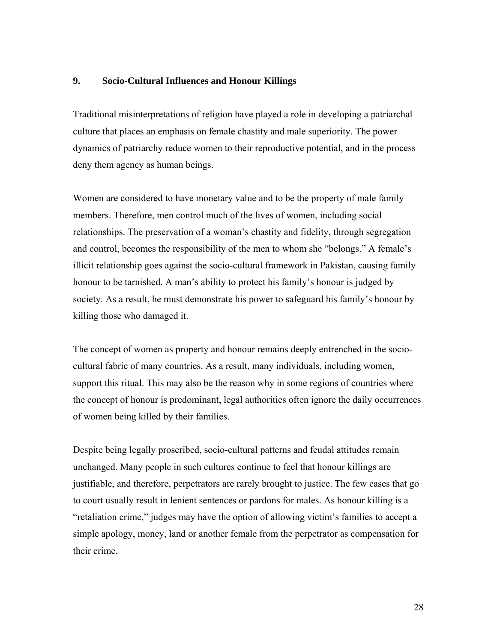#### **9. Socio-Cultural Influences and Honour Killings**

Traditional misinterpretations of religion have played a role in developing a patriarchal culture that places an emphasis on female chastity and male superiority. The power dynamics of patriarchy reduce women to their reproductive potential, and in the process deny them agency as human beings.

Women are considered to have monetary value and to be the property of male family members. Therefore, men control much of the lives of women, including social relationships. The preservation of a woman's chastity and fidelity, through segregation and control, becomes the responsibility of the men to whom she "belongs." A female's illicit relationship goes against the socio-cultural framework in Pakistan, causing family honour to be tarnished. A man's ability to protect his family's honour is judged by society. As a result, he must demonstrate his power to safeguard his family's honour by killing those who damaged it.

The concept of women as property and honour remains deeply entrenched in the sociocultural fabric of many countries. As a result, many individuals, including women, support this ritual. This may also be the reason why in some regions of countries where the concept of honour is predominant, legal authorities often ignore the daily occurrences of women being killed by their families.

Despite being legally proscribed, socio-cultural patterns and feudal attitudes remain unchanged. Many people in such cultures continue to feel that honour killings are justifiable, and therefore, perpetrators are rarely brought to justice. The few cases that go to court usually result in lenient sentences or pardons for males. As honour killing is a "retaliation crime," judges may have the option of allowing victim's families to accept a simple apology, money, land or another female from the perpetrator as compensation for their crime.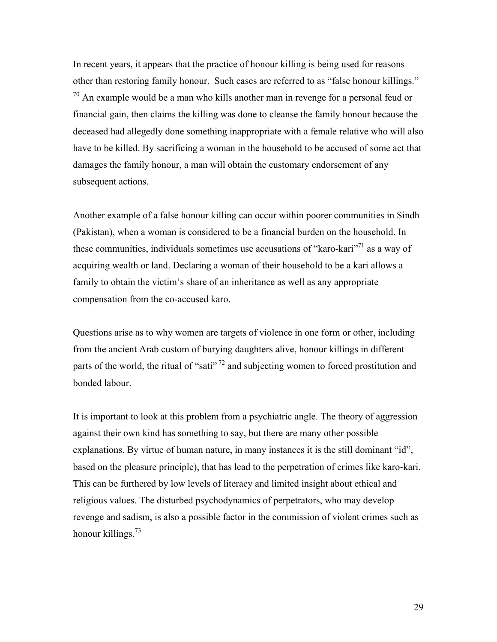In recent years, it appears that the practice of honour killing is being used for reasons other than restoring family honour. Such cases are referred to as "false honour killings."  $70$  An example would be a man who kills another man in revenge for a personal feud or financial gain, then claims the killing was done to cleanse the family honour because the deceased had allegedly done something inappropriate with a female relative who will also have to be killed. By sacrificing a woman in the household to be accused of some act that damages the family honour, a man will obtain the customary endorsement of any subsequent actions.

Another example of a false honour killing can occur within poorer communities in Sindh (Pakistan), when a woman is considered to be a financial burden on the household. In these communities, individuals sometimes use accusations of "karo-kari"<sup>71</sup> as a way of acquiring wealth or land. Declaring a woman of their household to be a kari allows a family to obtain the victim's share of an inheritance as well as any appropriate compensation from the co-accused karo.

Questions arise as to why women are targets of violence in one form or other, including from the ancient Arab custom of burying daughters alive, honour killings in different parts of the world, the ritual of "sati"  $^{72}$  and subjecting women to forced prostitution and bonded labour.

It is important to look at this problem from a psychiatric angle. The theory of aggression against their own kind has something to say, but there are many other possible explanations. By virtue of human nature, in many instances it is the still dominant "id", based on the pleasure principle), that has lead to the perpetration of crimes like karo-kari. This can be furthered by low levels of literacy and limited insight about ethical and religious values. The disturbed psychodynamics of perpetrators, who may develop revenge and sadism, is also a possible factor in the commission of violent crimes such as honour killings. $^{73}$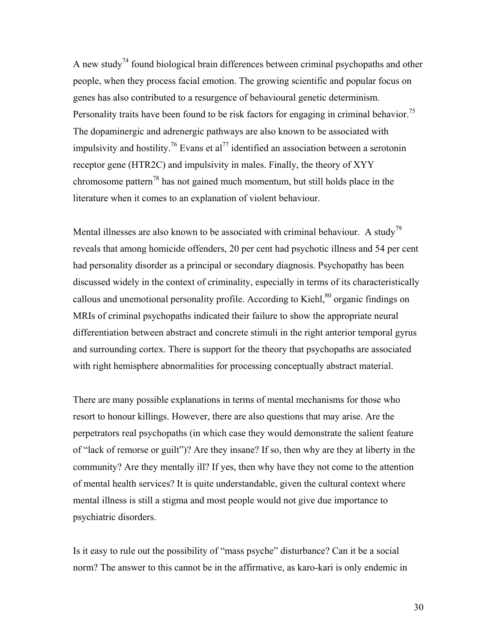A new study<sup>74</sup> found biological brain differences between criminal psychopaths and other people, when they process facial emotion. The growing scientific and popular focus on genes has also contributed to a resurgence of behavioural genetic determinism. Personality traits have been found to be risk factors for engaging in criminal behavior.<sup>75</sup> The dopaminergic and adrenergic pathways are also known to be associated with impulsivity and hostility.<sup>76</sup> Evans et al<sup>77</sup> identified an association between a serotonin receptor gene (HTR2C) and impulsivity in males. Finally, the theory of XYY chromosome pattern<sup>78</sup> has not gained much momentum, but still holds place in the literature when it comes to an explanation of violent behaviour.

Mental illnesses are also known to be associated with criminal behaviour. A study<sup>79</sup> reveals that among homicide offenders, 20 per cent had psychotic illness and 54 per cent had personality disorder as a principal or secondary diagnosis. Psychopathy has been discussed widely in the context of criminality, especially in terms of its characteristically callous and unemotional personality profile. According to Kiehl,<sup>80</sup> organic findings on MRIs of criminal psychopaths indicated their failure to show the appropriate neural differentiation between abstract and concrete stimuli in the right anterior temporal gyrus and surrounding cortex. There is support for the theory that psychopaths are associated with right hemisphere abnormalities for processing conceptually abstract material.

There are many possible explanations in terms of mental mechanisms for those who resort to honour killings. However, there are also questions that may arise. Are the perpetrators real psychopaths (in which case they would demonstrate the salient feature of "lack of remorse or guilt")? Are they insane? If so, then why are they at liberty in the community? Are they mentally ill? If yes, then why have they not come to the attention of mental health services? It is quite understandable, given the cultural context where mental illness is still a stigma and most people would not give due importance to psychiatric disorders.

Is it easy to rule out the possibility of "mass psyche" disturbance? Can it be a social norm? The answer to this cannot be in the affirmative, as karo-kari is only endemic in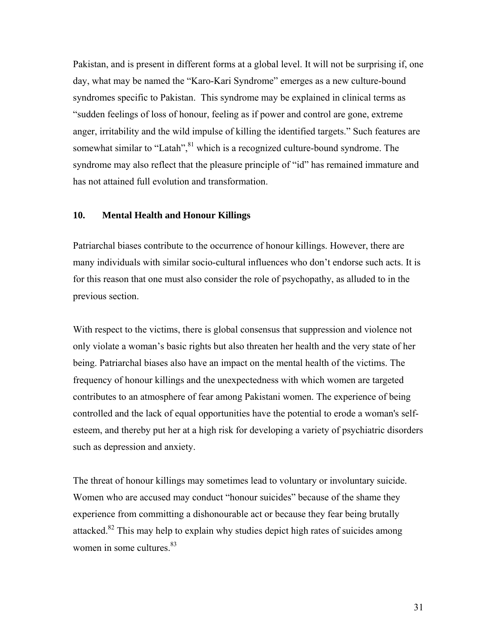Pakistan, and is present in different forms at a global level. It will not be surprising if, one day, what may be named the "Karo-Kari Syndrome" emerges as a new culture-bound syndromes specific to Pakistan. This syndrome may be explained in clinical terms as "sudden feelings of loss of honour, feeling as if power and control are gone, extreme anger, irritability and the wild impulse of killing the identified targets." Such features are somewhat similar to "Latah", $81$ <sup>k</sup> which is a recognized culture-bound syndrome. The syndrome may also reflect that the pleasure principle of "id" has remained immature and has not attained full evolution and transformation.

#### **10. Mental Health and Honour Killings**

Patriarchal biases contribute to the occurrence of honour killings. However, there are many individuals with similar socio-cultural influences who don't endorse such acts. It is for this reason that one must also consider the role of psychopathy, as alluded to in the previous section.

With respect to the victims, there is global consensus that suppression and violence not only violate a woman's basic rights but also threaten her health and the very state of her being. Patriarchal biases also have an impact on the mental health of the victims. The frequency of honour killings and the unexpectedness with which women are targeted contributes to an atmosphere of fear among Pakistani women. The experience of being controlled and the lack of equal opportunities have the potential to erode a woman's selfesteem, and thereby put her at a high risk for developing a variety of psychiatric disorders such as depression and anxiety.

The threat of honour killings may sometimes lead to voluntary or involuntary suicide. Women who are accused may conduct "honour suicides" because of the shame they experience from committing a dishonourable act or because they fear being brutally attacked.<sup>82</sup> This may help to explain why studies depict high rates of suicides among women in some cultures. $83$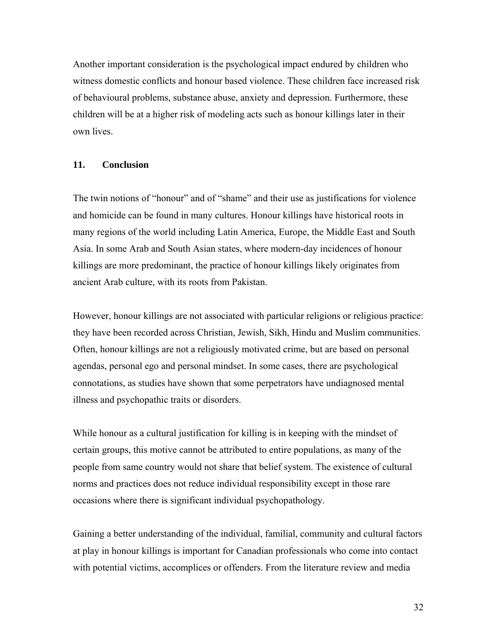Another important consideration is the psychological impact endured by children who witness domestic conflicts and honour based violence. These children face increased risk of behavioural problems, substance abuse, anxiety and depression. Furthermore, these children will be at a higher risk of modeling acts such as honour killings later in their own lives.

#### **11. Conclusion**

The twin notions of "honour" and of "shame" and their use as justifications for violence and homicide can be found in many cultures. Honour killings have historical roots in many regions of the world including Latin America, Europe, the Middle East and South Asia. In some Arab and South Asian states, where modern-day incidences of honour killings are more predominant, the practice of honour killings likely originates from ancient Arab culture, with its roots from Pakistan.

However, honour killings are not associated with particular religions or religious practice: they have been recorded across Christian, Jewish, Sikh, Hindu and Muslim communities. Often, honour killings are not a religiously motivated crime, but are based on personal agendas, personal ego and personal mindset. In some cases, there are psychological connotations, as studies have shown that some perpetrators have undiagnosed mental illness and psychopathic traits or disorders.

While honour as a cultural justification for killing is in keeping with the mindset of certain groups, this motive cannot be attributed to entire populations, as many of the people from same country would not share that belief system. The existence of cultural norms and practices does not reduce individual responsibility except in those rare occasions where there is significant individual psychopathology.

Gaining a better understanding of the individual, familial, community and cultural factors at play in honour killings is important for Canadian professionals who come into contact with potential victims, accomplices or offenders. From the literature review and media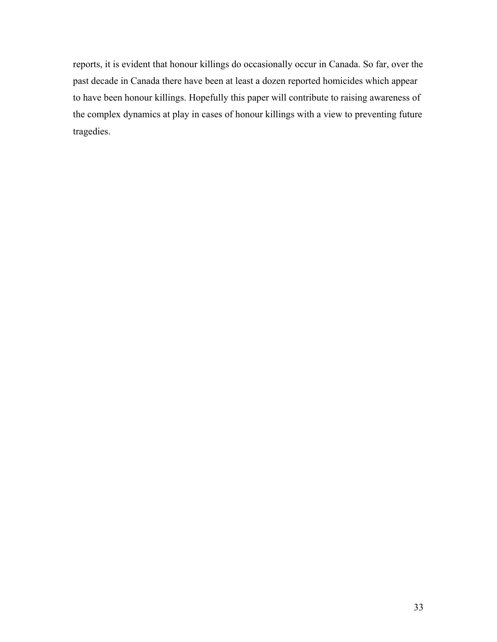reports, it is evident that honour killings do occasionally occur in Canada. So far, over the past decade in Canada there have been at least a dozen reported homicides which appear to have been honour killings. Hopefully this paper will contribute to raising awareness of the complex dynamics at play in cases of honour killings with a view to preventing future tragedies.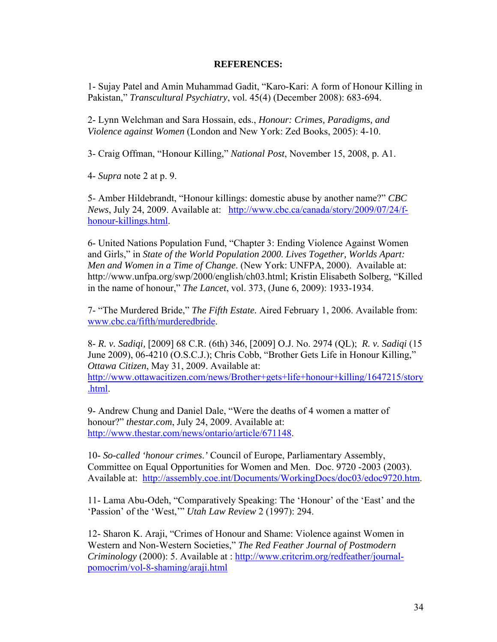#### **REFERENCES:**

1- Sujay Patel and Amin Muhammad Gadit, "Karo-Kari: A form of Honour Killing in Pakistan," *Transcultural Psychiatry*, vol. 45(4) (December 2008): 683-694.

2- Lynn Welchman and Sara Hossain, eds., *Honour: Crimes, Paradigms, and Violence against Women* (London and New York: Zed Books, 2005): 4-10.

3- Craig Offman, "Honour Killing," *National Post*, November 15, 2008, p. A1.

4- *Supra* note 2 at p. 9.

.html.

5- Amber Hildebrandt, "Honour killings: domestic abuse by another name?" *CBC News*, July 24, 2009. Available at: http://www.cbc.ca/canada/story/2009/07/24/fhonour-killings.html.

6- United Nations Population Fund, "Chapter 3: Ending Violence Against Women and Girls," in *State of the World Population 2000*. *Lives Together, Worlds Apart: Men and Women in a Time of Change*. (New York: UNFPA, 2000). Available at: http://www.unfpa.org/swp/2000/english/ch03.html; Kristin Elisabeth Solberg, "Killed in the name of honour," *The Lancet*, vol. 373, (June 6, 2009): 1933-1934.

7- "The Murdered Bride," *The Fifth Estate.* Aired February 1, 2006. Available from: www.cbc.ca/fifth/murderedbride.

8- *R. v. Sadiqi,* [2009] 68 C.R. (6th) 346, [2009] O.J. No. 2974 (QL); *R. v. Sadiqi* (15 June 2009), 06-4210 (O.S.C.J.); Chris Cobb, "Brother Gets Life in Honour Killing," *Ottawa Citizen*, May 31, 2009. Available at: http://www.ottawacitizen.com/news/Brother+gets+life+honour+killing/1647215/story

9- Andrew Chung and Daniel Dale, "Were the deaths of 4 women a matter of honour?" *thestar.com*, July 24, 2009. Available at: http://www.thestar.com/news/ontario/article/671148.

10- *So-called 'honour crimes*.*'* Council of Europe, Parliamentary Assembly, Committee on Equal Opportunities for Women and Men. Doc. 9720 -2003 (2003). Available at: http://assembly.coe.int/Documents/WorkingDocs/doc03/edoc9720.htm.

11- Lama Abu-Odeh, "Comparatively Speaking: The 'Honour' of the 'East' and the 'Passion' of the 'West,'" *Utah Law Review* 2 (1997): 294.

12- Sharon K. Araji, "Crimes of Honour and Shame: Violence against Women in Western and Non-Western Societies," *The Red Feather Journal of Postmodern Criminology* (2000): 5. Available at : http://www.critcrim.org/redfeather/journalpomocrim/vol-8-shaming/araji.html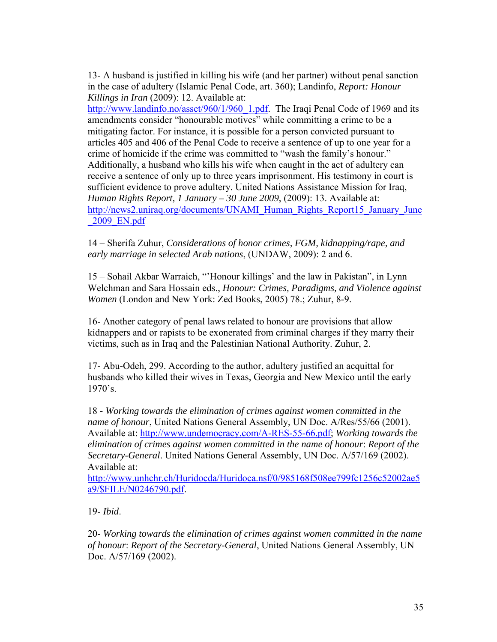13- A husband is justified in killing his wife (and her partner) without penal sanction in the case of adultery (Islamic Penal Code, art. 360); Landinfo, *Report: Honour Killings in Iran* (2009): 12. Available at:

http://www.landinfo.no/asset/960/1/960\_1.pdf. The Iraqi Penal Code of 1969 and its amendments consider "honourable motives" while committing a crime to be a mitigating factor. For instance, it is possible for a person convicted pursuant to articles 405 and 406 of the Penal Code to receive a sentence of up to one year for a crime of homicide if the crime was committed to "wash the family's honour." Additionally, a husband who kills his wife when caught in the act of adultery can receive a sentence of only up to three years imprisonment. His testimony in court is sufficient evidence to prove adultery. United Nations Assistance Mission for Iraq, *Human Rights Report, 1 January – 30 June 2009*, (2009): 13. Available at: http://news2.uniraq.org/documents/UNAMI\_Human\_Rights\_Report15\_January\_June \_2009\_EN.pdf

14 – Sherifa Zuhur, *Considerations of honor crimes, FGM, kidnapping/rape, and early marriage in selected Arab nations*, (UNDAW, 2009): 2 and 6.

15 – Sohail Akbar Warraich, "'Honour killings' and the law in Pakistan", in Lynn Welchman and Sara Hossain eds., *Honour: Crimes, Paradigms, and Violence against Women* (London and New York: Zed Books, 2005) 78.; Zuhur, 8-9.

16- Another category of penal laws related to honour are provisions that allow kidnappers and or rapists to be exonerated from criminal charges if they marry their victims, such as in Iraq and the Palestinian National Authority. Zuhur, 2.

17- Abu-Odeh, 299. According to the author, adultery justified an acquittal for husbands who killed their wives in Texas, Georgia and New Mexico until the early 1970's.

18 - *Working towards the elimination of crimes against women committed in the name of honour*, United Nations General Assembly, UN Doc. A/Res/55/66 (2001). Available at: http://www.undemocracy.com/A-RES-55-66.pdf; *Working towards the elimination of crimes against women committed in the name of honour*: *Report of the Secretary-General*. United Nations General Assembly, UN Doc. A/57/169 (2002). Available at:

http://www.unhchr.ch/Huridocda/Huridoca.nsf/0/985168f508ee799fc1256c52002ae5 a9/\$FILE/N0246790.pdf.

19- *Ibid*.

20- *Working towards the elimination of crimes against women committed in the name of honour*: *Report of the Secretary-General*, United Nations General Assembly, UN Doc. A/57/169 (2002).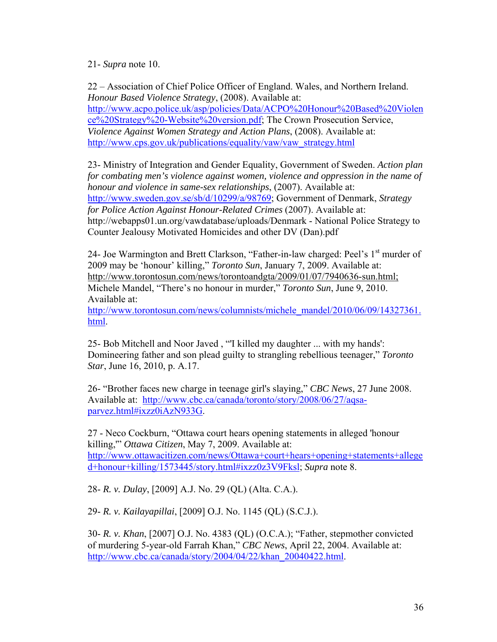21- *Supra* note 10.

22 – Association of Chief Police Officer of England. Wales, and Northern Ireland. *Honour Based Violence Strategy*, (2008). Available at: http://www.acpo.police.uk/asp/policies/Data/ACPO%20Honour%20Based%20Violen ce%20Strategy%20-Website%20version.pdf; The Crown Prosecution Service, *Violence Against Women Strategy and Action Plans*, (2008). Available at: http://www.cps.gov.uk/publications/equality/vaw/vaw\_strategy.html

23- Ministry of Integration and Gender Equality, Government of Sweden. *Action plan for combating men's violence against women, violence and oppression in the name of honour and violence in same-sex relationships*, (2007). Available at: http://www.sweden.gov.se/sb/d/10299/a/98769; Government of Denmark, *Strategy for Police Action Against Honour-Related Crimes* (2007). Available at: http://webapps01.un.org/vawdatabase/uploads/Denmark - National Police Strategy to Counter Jealousy Motivated Homicides and other DV (Dan).pdf

24- Joe Warmington and Brett Clarkson, "Father-in-law charged: Peel's  $1<sup>st</sup>$  murder of 2009 may be 'honour' killing," *Toronto Sun*, January 7, 2009. Available at: http://www.torontosun.com/news/torontoandgta/2009/01/07/7940636-sun.html; Michele Mandel, "There's no honour in murder," *Toronto Sun*, June 9, 2010. Available at:

http://www.torontosun.com/news/columnists/michele\_mandel/2010/06/09/14327361. html.

25- Bob Mitchell and Noor Javed , "'I killed my daughter ... with my hands': Domineering father and son plead guilty to strangling rebellious teenager," *Toronto Star*, June 16, 2010, p. A.17.

26- "Brother faces new charge in teenage girl's slaying," *CBC News*, 27 June 2008. Available at: http://www.cbc.ca/canada/toronto/story/2008/06/27/aqsaparvez.html#ixzz0iAzN933G.

27 - Neco Cockburn, "Ottawa court hears opening statements in alleged 'honour killing,'" *Ottawa Citizen*, May 7, 2009. Available at: http://www.ottawacitizen.com/news/Ottawa+court+hears+opening+statements+allege d+honour+killing/1573445/story.html#ixzz0z3V9Fksl; *Supra* note 8.

28- *R. v. Dulay*, [2009] A.J. No. 29 (QL) (Alta. C.A.).

29- *R. v. Kailayapillai*, [2009] O.J. No. 1145 (QL) (S.C.J.).

30- *R. v. Khan*, [2007] O.J. No. 4383 (QL) (O.C.A.); "Father, stepmother convicted of murdering 5-year-old Farrah Khan," *CBC News*, April 22, 2004. Available at: http://www.cbc.ca/canada/story/2004/04/22/khan\_20040422.html.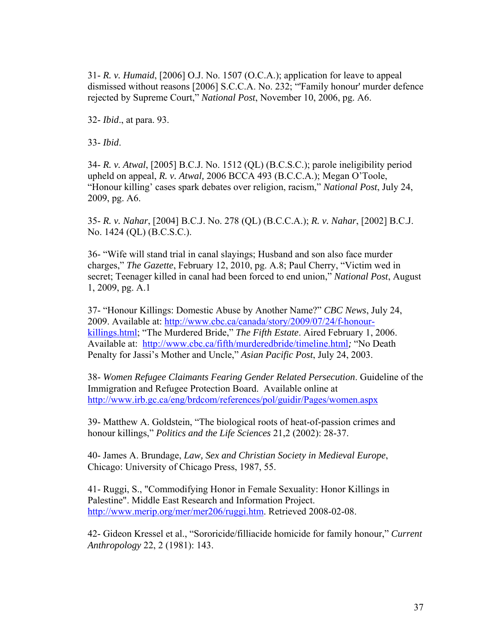31- *R. v. Humaid*, [2006] O.J. No. 1507 (O.C.A.); application for leave to appeal dismissed without reasons [2006] S.C.C.A. No. 232; "'Family honour' murder defence rejected by Supreme Court," *National Post*, November 10, 2006, pg. A6.

32- *Ibid*., at para. 93.

33- *Ibid*.

34- *R. v. Atwal*, [2005] B.C.J. No. 1512 (QL) (B.C.S.C.); parole ineligibility period upheld on appeal, *R. v. Atwal,* 2006 BCCA 493 (B.C.C.A.); Megan O'Toole, "Honour killing' cases spark debates over religion, racism," *National Post*, July 24, 2009, pg. A6.

35- *R. v. Nahar*, [2004] B.C.J. No. 278 (QL) (B.C.C.A.); *R. v. Nahar*, [2002] B.C.J. No. 1424 (QL) (B.C.S.C.).

36- "Wife will stand trial in canal slayings; Husband and son also face murder charges," *The Gazette*, February 12, 2010, pg. A.8; Paul Cherry, "Victim wed in secret; Teenager killed in canal had been forced to end union," *National Post*, August 1, 2009, pg. A.1

37- "Honour Killings: Domestic Abuse by Another Name?" *CBC News*, July 24, 2009. Available at: http://www.cbc.ca/canada/story/2009/07/24/f-honourkillings.html; "The Murdered Bride," *The Fifth Estate*. Aired February 1, 2006. Available at: http://www.cbc.ca/fifth/murderedbride/timeline.html*;* "No Death Penalty for Jassi's Mother and Uncle," *Asian Pacific Post*, July 24, 2003.

38- *Women Refugee Claimants Fearing Gender Related Persecution*. Guideline of the Immigration and Refugee Protection Board. Available online at http://www.irb.gc.ca/eng/brdcom/references/pol/guidir/Pages/women.aspx

39- Matthew A. Goldstein, "The biological roots of heat-of-passion crimes and honour killings," *Politics and the Life Sciences* 21,2 (2002): 28-37.

40- James A. Brundage, *Law, Sex and Christian Society in Medieval Europe*, Chicago: University of Chicago Press, 1987, 55.

41- Ruggi, S., "Commodifying Honor in Female Sexuality: Honor Killings in Palestine". Middle East Research and Information Project. http://www.merip.org/mer/mer206/ruggi.htm. Retrieved 2008-02-08.

42- Gideon Kressel et al., "Sororicide/filliacide homicide for family honour," *Current Anthropology* 22, 2 (1981): 143.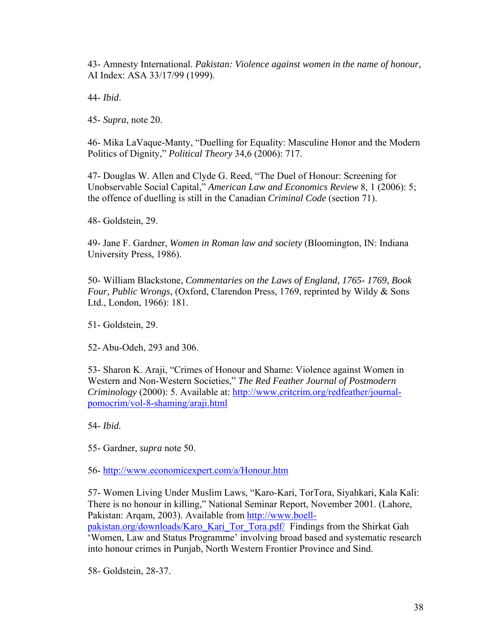43- Amnesty International. *Pakistan: Violence against women in the name of honour*, AI Index: ASA 33/17/99 (1999).

44- *Ibid*.

45- *Supra*, note 20.

46- Mika LaVaque-Manty, "Duelling for Equality: Masculine Honor and the Modern Politics of Dignity," *Political Theory* 34,6 (2006): 717.

47- Douglas W. Allen and Clyde G. Reed, "The Duel of Honour: Screening for Unobservable Social Capital," *American Law and Economics Review* 8, 1 (2006): 5; the offence of duelling is still in the Canadian *Criminal Code* (section 71).

48- Goldstein, 29.

49- Jane F. Gardner, *Women in Roman law and society* (Bloomington, IN: Indiana University Press, 1986).

50- William Blackstone, *Commentaries on the Laws of England, 1765- 1769, Book Four, Public Wrongs*, (Oxford, Clarendon Press, 1769, reprinted by Wildy & Sons Ltd., London, 1966): 181.

51- Goldstein, 29.

52- Abu-Odeh, 293 and 306.

53- Sharon K. Araji, "Crimes of Honour and Shame: Violence against Women in Western and Non-Western Societies," *The Red Feather Journal of Postmodern Criminology* (2000): 5. Available at: http://www.critcrim.org/redfeather/journalpomocrim/vol-8-shaming/araji.html

54- *Ibid.*

55- Gardner, *supra* note 50.

56- http://www.economicexpert.com/a/Honour.htm

57- Women Living Under Muslim Laws, "Karo-Kari, TorTora, Siyahkari, Kala Kali: There is no honour in killing," National Seminar Report, November 2001. (Lahore, Pakistan: Arqam, 2003). Available from http://www.boellpakistan.org/downloads/Karo\_Kari\_Tor\_Tora.pdf/ Findings from the Shirkat Gah 'Women, Law and Status Programme' involving broad based and systematic research into honour crimes in Punjab, North Western Frontier Province and Sind.

58- Goldstein, 28-37.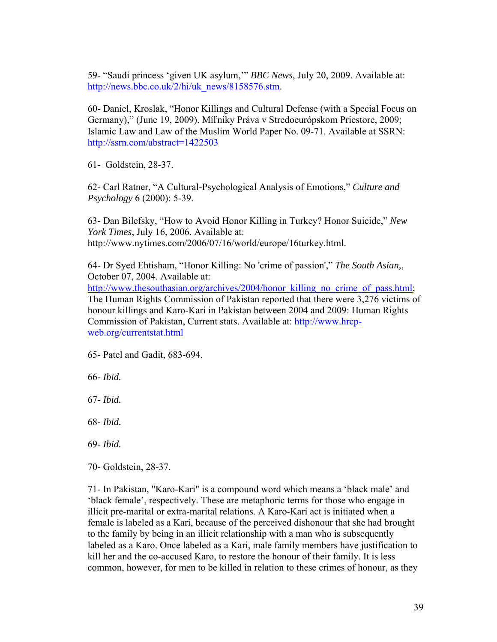59- "Saudi princess 'given UK asylum,'" *BBC News*, July 20, 2009. Available at: http://news.bbc.co.uk/2/hi/uk\_news/8158576.stm.

60- Daniel, Kroslak, "Honor Killings and Cultural Defense (with a Special Focus on Germany)," (June 19, 2009). Míľniky Práva v Stredoeurópskom Priestore, 2009; Islamic Law and Law of the Muslim World Paper No. 09-71. Available at SSRN: http://ssrn.com/abstract=1422503

61- Goldstein, 28-37.

62- Carl Ratner, "A Cultural-Psychological Analysis of Emotions," *Culture and Psychology* 6 (2000): 5-39.

63- Dan Bilefsky, "How to Avoid Honor Killing in Turkey? Honor Suicide," *New York Times*, July 16, 2006. Available at: http://www.nytimes.com/2006/07/16/world/europe/16turkey.html.

64- Dr Syed Ehtisham, "Honor Killing: No 'crime of passion'," *The South Asian,*, October 07, 2004. Available at:

http://www.thesouthasian.org/archives/2004/honor\_killing\_no\_crime\_of\_pass.html; The Human Rights Commission of Pakistan reported that there were 3,276 victims of honour killings and Karo-Kari in Pakistan between 2004 and 2009: Human Rights Commission of Pakistan, Current stats. Available at: http://www.hrcpweb.org/currentstat.html

65- Patel and Gadit, 683-694.

66- *Ibid.*

67- *Ibid.*

68- *Ibid.*

69- *Ibid.* 

70- Goldstein, 28-37.

71- In Pakistan, "Karo-Kari" is a compound word which means a 'black male' and 'black female', respectively. These are metaphoric terms for those who engage in illicit pre-marital or extra-marital relations. A Karo-Kari act is initiated when a female is labeled as a Kari, because of the perceived dishonour that she had brought to the family by being in an illicit relationship with a man who is subsequently labeled as a Karo. Once labeled as a Kari, male family members have justification to kill her and the co-accused Karo, to restore the honour of their family. It is less common, however, for men to be killed in relation to these crimes of honour, as they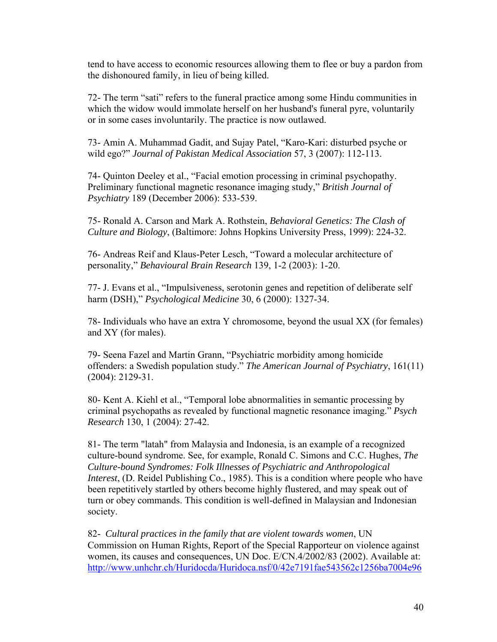tend to have access to economic resources allowing them to flee or buy a pardon from the dishonoured family, in lieu of being killed.

72- The term "sati" refers to the funeral practice among some Hindu communities in which the widow would immolate herself on her husband's funeral pyre, voluntarily or in some cases involuntarily. The practice is now outlawed.

73- Amin A. Muhammad Gadit, and Sujay Patel, "Karo-Kari: disturbed psyche or wild ego?" *Journal of Pakistan Medical Association* 57, 3 (2007): 112-113.

74- Quinton Deeley et al., "Facial emotion processing in criminal psychopathy. Preliminary functional magnetic resonance imaging study," *British Journal of Psychiatry* 189 (December 2006): 533-539.

75- Ronald A. Carson and Mark A. Rothstein, *Behavioral Genetics: The Clash of Culture and Biology*, (Baltimore: Johns Hopkins University Press, 1999): 224-32.

76- Andreas Reif and Klaus-Peter Lesch, "Toward a molecular architecture of personality," *Behavioural Brain Research* 139, 1-2 (2003): 1-20.

77- J. Evans et al., "Impulsiveness, serotonin genes and repetition of deliberate self harm (DSH)," *Psychological Medicine* 30, 6 (2000): 1327-34.

78- Individuals who have an extra Y chromosome, beyond the usual XX (for females) and XY (for males).

79- Seena Fazel and Martin Grann, "Psychiatric morbidity among homicide offenders: a Swedish population study." *The American Journal of Psychiatry*, 161(11) (2004): 2129-31.

80- Kent A. Kiehl et al., "Temporal lobe abnormalities in semantic processing by criminal psychopaths as revealed by functional magnetic resonance imaging." *Psych Research* 130, 1 (2004): 27-42.

81- The term "latah" from Malaysia and Indonesia, is an example of a recognized culture-bound syndrome. See, for example, Ronald C. Simons and C.C. Hughes, *The Culture-bound Syndromes: Folk Illnesses of Psychiatric and Anthropological Interest*, (D. Reidel Publishing Co., 1985). This is a condition where people who have been repetitively startled by others become highly flustered, and may speak out of turn or obey commands. This condition is well-defined in Malaysian and Indonesian society.

82- *Cultural practices in the family that are violent towards women*, UN Commission on Human Rights, Report of the Special Rapporteur on violence against women, its causes and consequences, UN Doc. E/CN.4/2002/83 (2002). Available at: http://www.unhchr.ch/Huridocda/Huridoca.nsf/0/42e7191fae543562c1256ba7004e96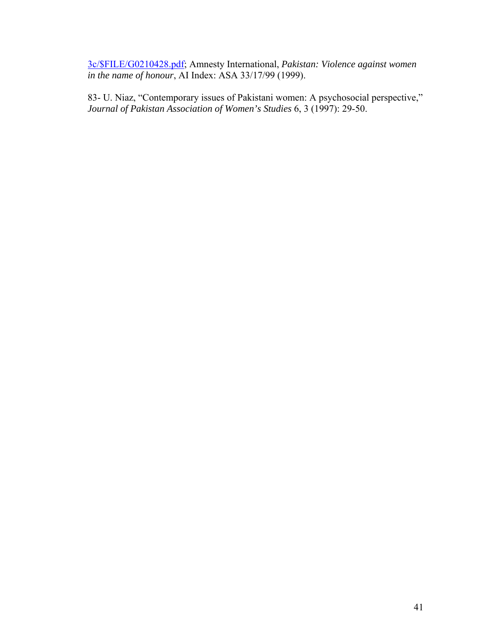3c/\$FILE/G0210428.pdf; Amnesty International, *Pakistan: Violence against women in the name of honour*, AI Index: ASA 33/17/99 (1999).

83- U. Niaz, "Contemporary issues of Pakistani women: A psychosocial perspective," *Journal of Pakistan Association of Women's Studies* 6, 3 (1997): 29-50.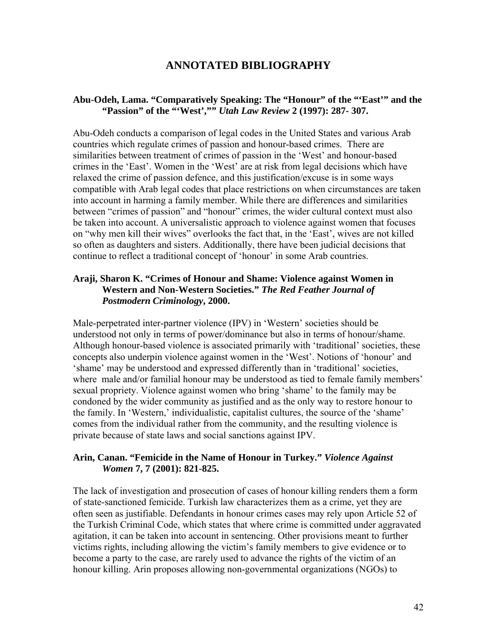## **ANNOTATED BIBLIOGRAPHY**

#### **Abu-Odeh, Lama. "Comparatively Speaking: The "Honour" of the "'East'" and the "Passion" of the "'West',""** *Utah Law Review* **2 (1997): 287- 307.**

Abu-Odeh conducts a comparison of legal codes in the United States and various Arab countries which regulate crimes of passion and honour-based crimes. There are similarities between treatment of crimes of passion in the 'West' and honour-based crimes in the 'East'. Women in the 'West' are at risk from legal decisions which have relaxed the crime of passion defence, and this justification/excuse is in some ways compatible with Arab legal codes that place restrictions on when circumstances are taken into account in harming a family member. While there are differences and similarities between "crimes of passion" and "honour" crimes, the wider cultural context must also be taken into account. A universalistic approach to violence against women that focuses on "why men kill their wives" overlooks the fact that, in the 'East', wives are not killed so often as daughters and sisters. Additionally, there have been judicial decisions that continue to reflect a traditional concept of 'honour' in some Arab countries.

#### **Araji, Sharon K. "Crimes of Honour and Shame: Violence against Women in Western and Non-Western Societies."** *The Red Feather Journal of Postmodern Criminology***, 2000.**

Male-perpetrated inter-partner violence (IPV) in 'Western' societies should be understood not only in terms of power/dominance but also in terms of honour/shame. Although honour-based violence is associated primarily with 'traditional' societies, these concepts also underpin violence against women in the 'West'. Notions of 'honour' and 'shame' may be understood and expressed differently than in 'traditional' societies, where male and/or familial honour may be understood as tied to female family members' sexual propriety. Violence against women who bring 'shame' to the family may be condoned by the wider community as justified and as the only way to restore honour to the family. In 'Western,' individualistic, capitalist cultures, the source of the 'shame' comes from the individual rather from the community, and the resulting violence is private because of state laws and social sanctions against IPV.

#### **Arin, Canan. "Femicide in the Name of Honour in Turkey."** *Violence Against Women* **7, 7 (2001): 821-825.**

The lack of investigation and prosecution of cases of honour killing renders them a form of state-sanctioned femicide. Turkish law characterizes them as a crime, yet they are often seen as justifiable. Defendants in honour crimes cases may rely upon Article 52 of the Turkish Criminal Code, which states that where crime is committed under aggravated agitation, it can be taken into account in sentencing. Other provisions meant to further victims rights, including allowing the victim's family members to give evidence or to become a party to the case, are rarely used to advance the rights of the victim of an honour killing. Arin proposes allowing non-governmental organizations (NGOs) to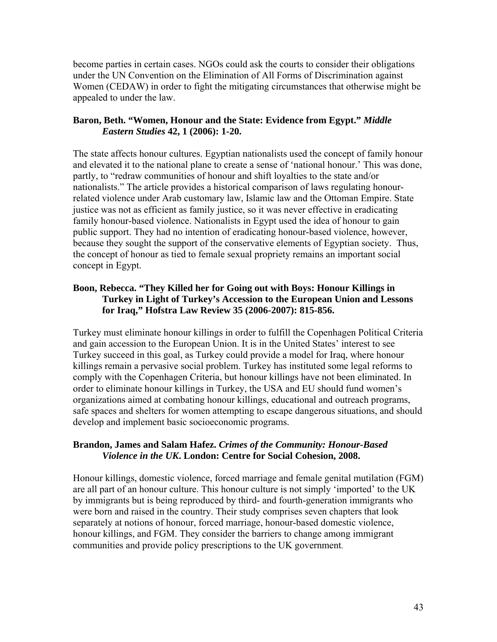become parties in certain cases. NGOs could ask the courts to consider their obligations under the UN Convention on the Elimination of All Forms of Discrimination against Women (CEDAW) in order to fight the mitigating circumstances that otherwise might be appealed to under the law.

#### **Baron, Beth. "Women, Honour and the State: Evidence from Egypt."** *Middle Eastern Studies* **42, 1 (2006): 1-20.**

The state affects honour cultures. Egyptian nationalists used the concept of family honour and elevated it to the national plane to create a sense of 'national honour.' This was done, partly, to "redraw communities of honour and shift loyalties to the state and/or nationalists." The article provides a historical comparison of laws regulating honourrelated violence under Arab customary law, Islamic law and the Ottoman Empire. State justice was not as efficient as family justice, so it was never effective in eradicating family honour-based violence. Nationalists in Egypt used the idea of honour to gain public support. They had no intention of eradicating honour-based violence, however, because they sought the support of the conservative elements of Egyptian society. Thus, the concept of honour as tied to female sexual propriety remains an important social concept in Egypt.

## **Boon, Rebecca. "They Killed her for Going out with Boys: Honour Killings in Turkey in Light of Turkey's Accession to the European Union and Lessons for Iraq," Hofstra Law Review 35 (2006-2007): 815-856.**

Turkey must eliminate honour killings in order to fulfill the Copenhagen Political Criteria and gain accession to the European Union. It is in the United States' interest to see Turkey succeed in this goal, as Turkey could provide a model for Iraq, where honour killings remain a pervasive social problem. Turkey has instituted some legal reforms to comply with the Copenhagen Criteria, but honour killings have not been eliminated. In order to eliminate honour killings in Turkey, the USA and EU should fund women's organizations aimed at combating honour killings, educational and outreach programs, safe spaces and shelters for women attempting to escape dangerous situations, and should develop and implement basic socioeconomic programs.

## **Brandon, James and Salam Hafez.** *Crimes of the Community: Honour-Based Violence in the UK***. London: Centre for Social Cohesion, 2008.**

Honour killings, domestic violence, forced marriage and female genital mutilation (FGM) are all part of an honour culture. This honour culture is not simply 'imported' to the UK by immigrants but is being reproduced by third- and fourth-generation immigrants who were born and raised in the country. Their study comprises seven chapters that look separately at notions of honour, forced marriage, honour-based domestic violence, honour killings, and FGM. They consider the barriers to change among immigrant communities and provide policy prescriptions to the UK government.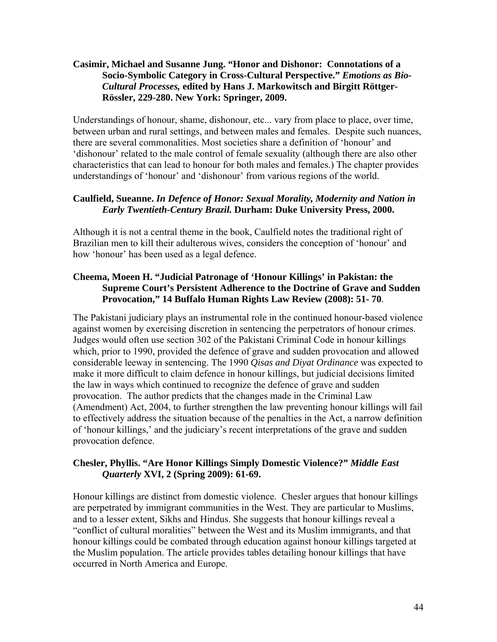## **Casimir, Michael and Susanne Jung. "Honor and Dishonor: Connotations of a Socio-Symbolic Category in Cross-Cultural Perspective."** *Emotions as Bio-Cultural Processes,* **edited by Hans J. Markowitsch and Birgitt Röttger-Rössler, 229-280. New York: Springer, 2009.**

Understandings of honour, shame, dishonour, etc... vary from place to place, over time, between urban and rural settings, and between males and females. Despite such nuances, there are several commonalities. Most societies share a definition of 'honour' and 'dishonour' related to the male control of female sexuality (although there are also other characteristics that can lead to honour for both males and females.) The chapter provides understandings of 'honour' and 'dishonour' from various regions of the world.

#### **Caulfield, Sueanne.** *In Defence of Honor: Sexual Morality, Modernity and Nation in Early Twentieth-Century Brazil.* **Durham: Duke University Press, 2000.**

Although it is not a central theme in the book, Caulfield notes the traditional right of Brazilian men to kill their adulterous wives, considers the conception of 'honour' and how 'honour' has been used as a legal defence.

## **Cheema, Moeen H. "Judicial Patronage of 'Honour Killings' in Pakistan: the Supreme Court's Persistent Adherence to the Doctrine of Grave and Sudden Provocation," 14 Buffalo Human Rights Law Review (2008): 51- 70**.

The Pakistani judiciary plays an instrumental role in the continued honour-based violence against women by exercising discretion in sentencing the perpetrators of honour crimes. Judges would often use section 302 of the Pakistani Criminal Code in honour killings which, prior to 1990, provided the defence of grave and sudden provocation and allowed considerable leeway in sentencing. The 1990 *Qisas and Diyat Ordinance* was expected to make it more difficult to claim defence in honour killings, but judicial decisions limited the law in ways which continued to recognize the defence of grave and sudden provocation. The author predicts that the changes made in the Criminal Law (Amendment) Act, 2004, to further strengthen the law preventing honour killings will fail to effectively address the situation because of the penalties in the Act, a narrow definition of 'honour killings,' and the judiciary's recent interpretations of the grave and sudden provocation defence.

## **Chesler, Phyllis. "Are Honor Killings Simply Domestic Violence?"** *Middle East Quarterly* **XVI, 2 (Spring 2009): 61-69.**

Honour killings are distinct from domestic violence. Chesler argues that honour killings are perpetrated by immigrant communities in the West. They are particular to Muslims, and to a lesser extent, Sikhs and Hindus. She suggests that honour killings reveal a "conflict of cultural moralities" between the West and its Muslim immigrants, and that honour killings could be combated through education against honour killings targeted at the Muslim population. The article provides tables detailing honour killings that have occurred in North America and Europe.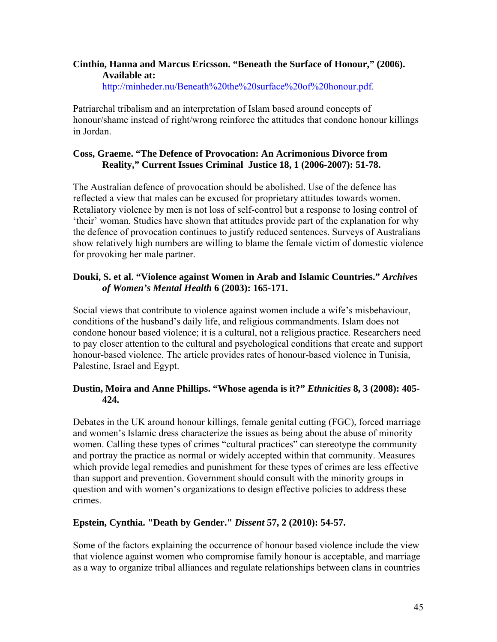## **Cinthio, Hanna and Marcus Ericsson. "Beneath the Surface of Honour," (2006). Available at:**

http://minheder.nu/Beneath%20the%20surface%20of%20honour.pdf.

Patriarchal tribalism and an interpretation of Islam based around concepts of honour/shame instead of right/wrong reinforce the attitudes that condone honour killings in Jordan.

## **Coss, Graeme. "The Defence of Provocation: An Acrimonious Divorce from Reality," Current Issues Criminal Justice 18, 1 (2006-2007): 51-78.**

The Australian defence of provocation should be abolished. Use of the defence has reflected a view that males can be excused for proprietary attitudes towards women. Retaliatory violence by men is not loss of self-control but a response to losing control of 'their' woman. Studies have shown that attitudes provide part of the explanation for why the defence of provocation continues to justify reduced sentences. Surveys of Australians show relatively high numbers are willing to blame the female victim of domestic violence for provoking her male partner.

## **Douki, S. et al. "Violence against Women in Arab and Islamic Countries."** *Archives of Women's Mental Health* **6 (2003): 165-171.**

Social views that contribute to violence against women include a wife's misbehaviour, conditions of the husband's daily life, and religious commandments. Islam does not condone honour based violence; it is a cultural, not a religious practice. Researchers need to pay closer attention to the cultural and psychological conditions that create and support honour-based violence. The article provides rates of honour-based violence in Tunisia, Palestine, Israel and Egypt.

## **Dustin, Moira and Anne Phillips. "Whose agenda is it?"** *Ethnicities* **8, 3 (2008): 405- 424.**

Debates in the UK around honour killings, female genital cutting (FGC), forced marriage and women's Islamic dress characterize the issues as being about the abuse of minority women. Calling these types of crimes "cultural practices" can stereotype the community and portray the practice as normal or widely accepted within that community. Measures which provide legal remedies and punishment for these types of crimes are less effective than support and prevention. Government should consult with the minority groups in question and with women's organizations to design effective policies to address these crimes.

## **Epstein, Cynthia. "Death by Gender."** *Dissent* **57, 2 (2010): 54-57.**

Some of the factors explaining the occurrence of honour based violence include the view that violence against women who compromise family honour is acceptable, and marriage as a way to organize tribal alliances and regulate relationships between clans in countries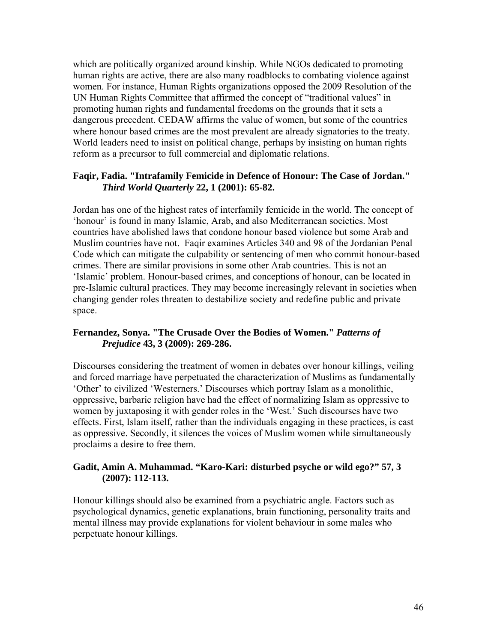which are politically organized around kinship. While NGOs dedicated to promoting human rights are active, there are also many roadblocks to combating violence against women. For instance, Human Rights organizations opposed the 2009 Resolution of the UN Human Rights Committee that affirmed the concept of "traditional values" in promoting human rights and fundamental freedoms on the grounds that it sets a dangerous precedent. CEDAW affirms the value of women, but some of the countries where honour based crimes are the most prevalent are already signatories to the treaty. World leaders need to insist on political change, perhaps by insisting on human rights reform as a precursor to full commercial and diplomatic relations.

#### **Faqir, Fadia. "Intrafamily Femicide in Defence of Honour: The Case of Jordan."**  *Third World Quarterly* **22, 1 (2001): 65-82.**

Jordan has one of the highest rates of interfamily femicide in the world. The concept of 'honour' is found in many Islamic, Arab, and also Mediterranean societies. Most countries have abolished laws that condone honour based violence but some Arab and Muslim countries have not. Faqir examines Articles 340 and 98 of the Jordanian Penal Code which can mitigate the culpability or sentencing of men who commit honour-based crimes. There are similar provisions in some other Arab countries. This is not an 'Islamic' problem. Honour-based crimes, and conceptions of honour, can be located in pre-Islamic cultural practices. They may become increasingly relevant in societies when changing gender roles threaten to destabilize society and redefine public and private space.

## **Fernandez, Sonya. "The Crusade Over the Bodies of Women."** *Patterns of Prejudice* **43, 3 (2009): 269-286.**

Discourses considering the treatment of women in debates over honour killings, veiling and forced marriage have perpetuated the characterization of Muslims as fundamentally 'Other' to civilized 'Westerners.' Discourses which portray Islam as a monolithic, oppressive, barbaric religion have had the effect of normalizing Islam as oppressive to women by juxtaposing it with gender roles in the 'West.' Such discourses have two effects. First, Islam itself, rather than the individuals engaging in these practices, is cast as oppressive. Secondly, it silences the voices of Muslim women while simultaneously proclaims a desire to free them.

## **Gadit, Amin A. Muhammad. "Karo-Kari: disturbed psyche or wild ego?" 57, 3 (2007): 112-113.**

Honour killings should also be examined from a psychiatric angle. Factors such as psychological dynamics, genetic explanations, brain functioning, personality traits and mental illness may provide explanations for violent behaviour in some males who perpetuate honour killings.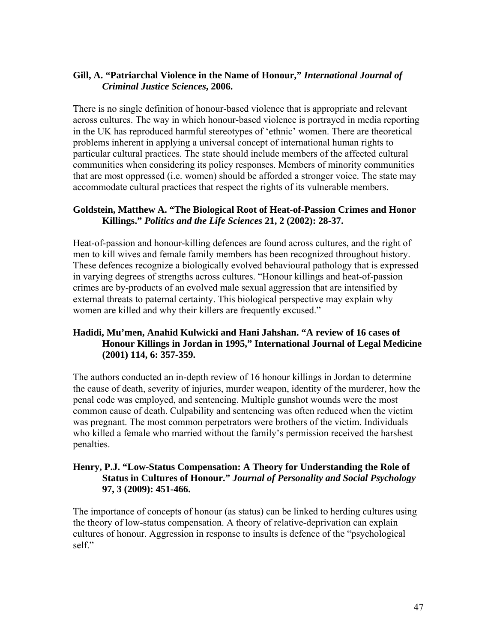## **Gill, A. "Patriarchal Violence in the Name of Honour,"** *International Journal of Criminal Justice Sciences***, 2006.**

There is no single definition of honour-based violence that is appropriate and relevant across cultures. The way in which honour-based violence is portrayed in media reporting in the UK has reproduced harmful stereotypes of 'ethnic' women. There are theoretical problems inherent in applying a universal concept of international human rights to particular cultural practices. The state should include members of the affected cultural communities when considering its policy responses. Members of minority communities that are most oppressed (i.e. women) should be afforded a stronger voice. The state may accommodate cultural practices that respect the rights of its vulnerable members.

#### **Goldstein, Matthew A. "The Biological Root of Heat-of-Passion Crimes and Honor Killings."** *Politics and the Life Sciences* **21, 2 (2002): 28-37.**

Heat-of-passion and honour-killing defences are found across cultures, and the right of men to kill wives and female family members has been recognized throughout history. These defences recognize a biologically evolved behavioural pathology that is expressed in varying degrees of strengths across cultures. "Honour killings and heat-of-passion crimes are by-products of an evolved male sexual aggression that are intensified by external threats to paternal certainty. This biological perspective may explain why women are killed and why their killers are frequently excused."

## **Hadidi, Mu'men, Anahid Kulwicki and Hani Jahshan. "A review of 16 cases of Honour Killings in Jordan in 1995," International Journal of Legal Medicine (2001) 114, 6: 357-359.**

The authors conducted an in-depth review of 16 honour killings in Jordan to determine the cause of death, severity of injuries, murder weapon, identity of the murderer, how the penal code was employed, and sentencing. Multiple gunshot wounds were the most common cause of death. Culpability and sentencing was often reduced when the victim was pregnant. The most common perpetrators were brothers of the victim. Individuals who killed a female who married without the family's permission received the harshest penalties.

## **Henry, P.J. "Low-Status Compensation: A Theory for Understanding the Role of Status in Cultures of Honour."** *Journal of Personality and Social Psychology* **97, 3 (2009): 451-466.**

The importance of concepts of honour (as status) can be linked to herding cultures using the theory of low-status compensation. A theory of relative-deprivation can explain cultures of honour. Aggression in response to insults is defence of the "psychological self."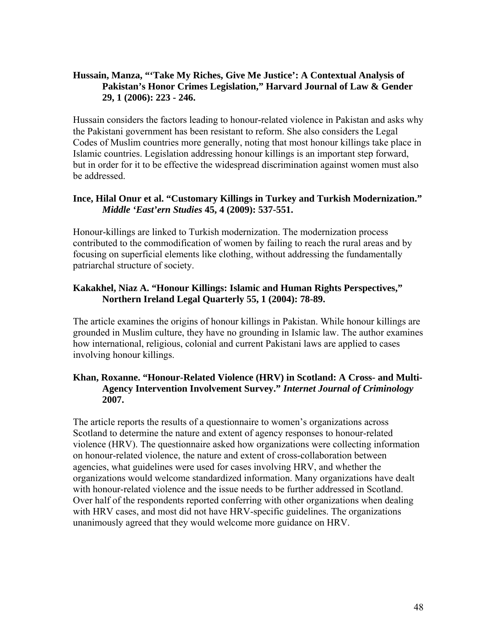## **Hussain, Manza, "'Take My Riches, Give Me Justice': A Contextual Analysis of Pakistan's Honor Crimes Legislation," Harvard Journal of Law & Gender 29, 1 (2006): 223 - 246.**

Hussain considers the factors leading to honour-related violence in Pakistan and asks why the Pakistani government has been resistant to reform. She also considers the Legal Codes of Muslim countries more generally, noting that most honour killings take place in Islamic countries. Legislation addressing honour killings is an important step forward, but in order for it to be effective the widespread discrimination against women must also be addressed.

#### **Ince, Hilal Onur et al. "Customary Killings in Turkey and Turkish Modernization."**  *Middle 'East'ern Studies* **45, 4 (2009): 537-551.**

Honour-killings are linked to Turkish modernization. The modernization process contributed to the commodification of women by failing to reach the rural areas and by focusing on superficial elements like clothing, without addressing the fundamentally patriarchal structure of society.

## **Kakakhel, Niaz A. "Honour Killings: Islamic and Human Rights Perspectives," Northern Ireland Legal Quarterly 55, 1 (2004): 78-89.**

The article examines the origins of honour killings in Pakistan. While honour killings are grounded in Muslim culture, they have no grounding in Islamic law. The author examines how international, religious, colonial and current Pakistani laws are applied to cases involving honour killings.

## **Khan, Roxanne. "Honour-Related Violence (HRV) in Scotland: A Cross- and Multi-Agency Intervention Involvement Survey."** *Internet Journal of Criminology* **2007.**

The article reports the results of a questionnaire to women's organizations across Scotland to determine the nature and extent of agency responses to honour-related violence (HRV). The questionnaire asked how organizations were collecting information on honour-related violence, the nature and extent of cross-collaboration between agencies, what guidelines were used for cases involving HRV, and whether the organizations would welcome standardized information. Many organizations have dealt with honour-related violence and the issue needs to be further addressed in Scotland. Over half of the respondents reported conferring with other organizations when dealing with HRV cases, and most did not have HRV-specific guidelines. The organizations unanimously agreed that they would welcome more guidance on HRV.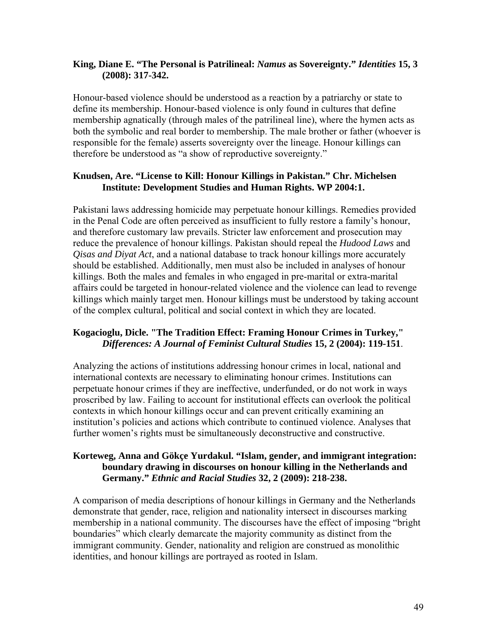## **King, Diane E. "The Personal is Patrilineal:** *Namus* **as Sovereignty."** *Identities* **15, 3 (2008): 317-342.**

Honour-based violence should be understood as a reaction by a patriarchy or state to define its membership. Honour-based violence is only found in cultures that define membership agnatically (through males of the patrilineal line), where the hymen acts as both the symbolic and real border to membership. The male brother or father (whoever is responsible for the female) asserts sovereignty over the lineage. Honour killings can therefore be understood as "a show of reproductive sovereignty."

## **Knudsen, Are. "License to Kill: Honour Killings in Pakistan." Chr. Michelsen Institute: Development Studies and Human Rights. WP 2004:1.**

Pakistani laws addressing homicide may perpetuate honour killings. Remedies provided in the Penal Code are often perceived as insufficient to fully restore a family's honour, and therefore customary law prevails. Stricter law enforcement and prosecution may reduce the prevalence of honour killings. Pakistan should repeal the *Hudood Laws* and *Qisas and Diyat Act*, and a national database to track honour killings more accurately should be established. Additionally, men must also be included in analyses of honour killings. Both the males and females in who engaged in pre-marital or extra-marital affairs could be targeted in honour-related violence and the violence can lead to revenge killings which mainly target men. Honour killings must be understood by taking account of the complex cultural, political and social context in which they are located.

## **Kogacioglu, Dicle. "The Tradition Effect: Framing Honour Crimes in Turkey,"**  *Differences: A Journal of Feminist Cultural Studies* **15, 2 (2004): 119-151**.

Analyzing the actions of institutions addressing honour crimes in local, national and international contexts are necessary to eliminating honour crimes. Institutions can perpetuate honour crimes if they are ineffective, underfunded, or do not work in ways proscribed by law. Failing to account for institutional effects can overlook the political contexts in which honour killings occur and can prevent critically examining an institution's policies and actions which contribute to continued violence. Analyses that further women's rights must be simultaneously deconstructive and constructive.

## **Korteweg, Anna and Gökçe Yurdakul. "Islam, gender, and immigrant integration: boundary drawing in discourses on honour killing in the Netherlands and Germany."** *Ethnic and Racial Studies* **32, 2 (2009): 218-238.**

A comparison of media descriptions of honour killings in Germany and the Netherlands demonstrate that gender, race, religion and nationality intersect in discourses marking membership in a national community. The discourses have the effect of imposing "bright boundaries" which clearly demarcate the majority community as distinct from the immigrant community. Gender, nationality and religion are construed as monolithic identities, and honour killings are portrayed as rooted in Islam.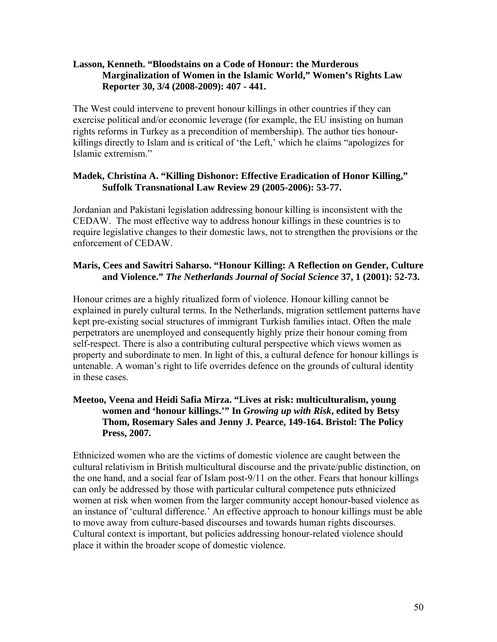#### **Lasson, Kenneth. "Bloodstains on a Code of Honour: the Murderous Marginalization of Women in the Islamic World," Women's Rights Law Reporter 30, 3/4 (2008-2009): 407 - 441.**

The West could intervene to prevent honour killings in other countries if they can exercise political and/or economic leverage (for example, the EU insisting on human rights reforms in Turkey as a precondition of membership). The author ties honourkillings directly to Islam and is critical of 'the Left,' which he claims "apologizes for Islamic extremism."

#### **Madek, Christina A. "Killing Dishonor: Effective Eradication of Honor Killing," Suffolk Transnational Law Review 29 (2005-2006): 53-77.**

Jordanian and Pakistani legislation addressing honour killing is inconsistent with the CEDAW. The most effective way to address honour killings in these countries is to require legislative changes to their domestic laws, not to strengthen the provisions or the enforcement of CEDAW.

## **Maris, Cees and Sawitri Saharso. "Honour Killing: A Reflection on Gender, Culture and Violence."** *The Netherlands Journal of Social Science* **37, 1 (2001): 52-73.**

Honour crimes are a highly ritualized form of violence. Honour killing cannot be explained in purely cultural terms. In the Netherlands, migration settlement patterns have kept pre-existing social structures of immigrant Turkish families intact. Often the male perpetrators are unemployed and consequently highly prize their honour coming from self-respect. There is also a contributing cultural perspective which views women as property and subordinate to men. In light of this, a cultural defence for honour killings is untenable. A woman's right to life overrides defence on the grounds of cultural identity in these cases.

## **Meetoo, Veena and Heidi Safia Mirza. "Lives at risk: multiculturalism, young women and 'honour killings.'" In** *Growing up with Risk***, edited by Betsy Thom, Rosemary Sales and Jenny J. Pearce, 149-164. Bristol: The Policy Press, 2007.**

Ethnicized women who are the victims of domestic violence are caught between the cultural relativism in British multicultural discourse and the private/public distinction, on the one hand, and a social fear of Islam post-9/11 on the other. Fears that honour killings can only be addressed by those with particular cultural competence puts ethnicized women at risk when women from the larger community accept honour-based violence as an instance of 'cultural difference.' An effective approach to honour killings must be able to move away from culture-based discourses and towards human rights discourses. Cultural context is important, but policies addressing honour-related violence should place it within the broader scope of domestic violence.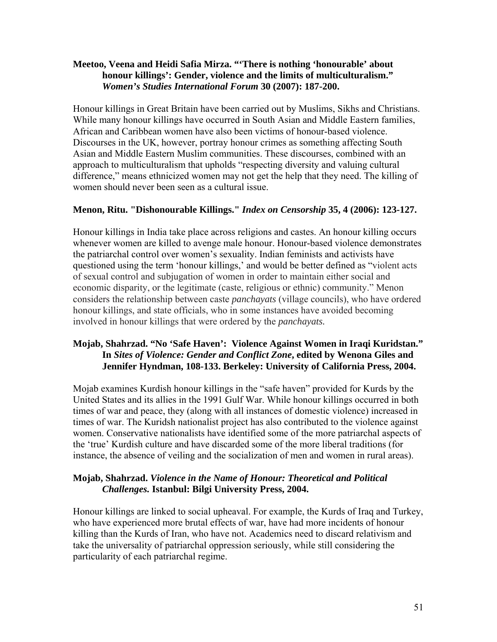#### **Meetoo, Veena and Heidi Safia Mirza. "'There is nothing 'honourable' about honour killings': Gender, violence and the limits of multiculturalism."**  *Women's Studies International Forum* **30 (2007): 187-200.**

Honour killings in Great Britain have been carried out by Muslims, Sikhs and Christians. While many honour killings have occurred in South Asian and Middle Eastern families, African and Caribbean women have also been victims of honour-based violence. Discourses in the UK, however, portray honour crimes as something affecting South Asian and Middle Eastern Muslim communities. These discourses, combined with an approach to multiculturalism that upholds "respecting diversity and valuing cultural difference," means ethnicized women may not get the help that they need. The killing of women should never been seen as a cultural issue.

## **Menon, Ritu. "Dishonourable Killings."** *Index on Censorship* **35, 4 (2006): 123-127.**

Honour killings in India take place across religions and castes. An honour killing occurs whenever women are killed to avenge male honour. Honour-based violence demonstrates the patriarchal control over women's sexuality. Indian feminists and activists have questioned using the term 'honour killings,' and would be better defined as "violent acts of sexual control and subjugation of women in order to maintain either social and economic disparity, or the legitimate (caste, religious or ethnic) community." Menon considers the relationship between caste *panchayats* (village councils), who have ordered honour killings, and state officials, who in some instances have avoided becoming involved in honour killings that were ordered by the *panchayats.* 

## **Mojab, Shahrzad. "No 'Safe Haven': Violence Against Women in Iraqi Kuridstan." In** *Sites of Violence: Gender and Conflict Zone***, edited by Wenona Giles and Jennifer Hyndman, 108-133. Berkeley: University of California Press, 2004.**

Mojab examines Kurdish honour killings in the "safe haven" provided for Kurds by the United States and its allies in the 1991 Gulf War. While honour killings occurred in both times of war and peace, they (along with all instances of domestic violence) increased in times of war. The Kuridsh nationalist project has also contributed to the violence against women. Conservative nationalists have identified some of the more patriarchal aspects of the 'true' Kurdish culture and have discarded some of the more liberal traditions (for instance, the absence of veiling and the socialization of men and women in rural areas).

## **Mojab, Shahrzad.** *Violence in the Name of Honour: Theoretical and Political Challenges.* **Istanbul: Bilgi University Press, 2004.**

Honour killings are linked to social upheaval. For example, the Kurds of Iraq and Turkey, who have experienced more brutal effects of war, have had more incidents of honour killing than the Kurds of Iran, who have not. Academics need to discard relativism and take the universality of patriarchal oppression seriously, while still considering the particularity of each patriarchal regime.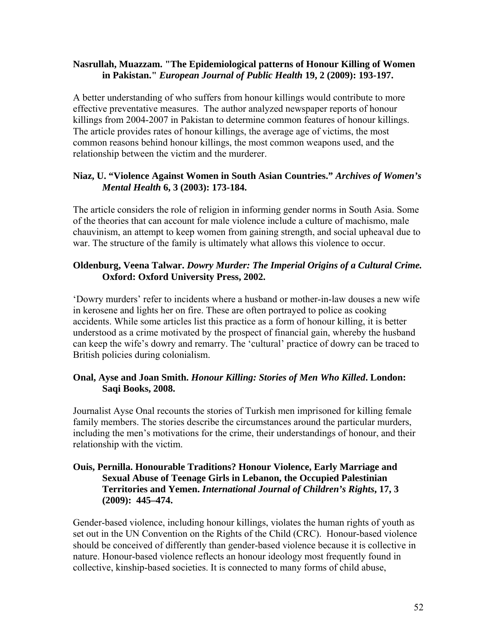#### **Nasrullah, Muazzam. "The Epidemiological patterns of Honour Killing of Women in Pakistan."** *European Journal of Public Health* **19, 2 (2009): 193-197.**

A better understanding of who suffers from honour killings would contribute to more effective preventative measures. The author analyzed newspaper reports of honour killings from 2004-2007 in Pakistan to determine common features of honour killings. The article provides rates of honour killings, the average age of victims, the most common reasons behind honour killings, the most common weapons used, and the relationship between the victim and the murderer.

## **Niaz, U. "Violence Against Women in South Asian Countries."** *Archives of Women's Mental Health* **6, 3 (2003): 173-184.**

The article considers the role of religion in informing gender norms in South Asia. Some of the theories that can account for male violence include a culture of machismo, male chauvinism, an attempt to keep women from gaining strength, and social upheaval due to war. The structure of the family is ultimately what allows this violence to occur.

## **Oldenburg, Veena Talwar.** *Dowry Murder: The Imperial Origins of a Cultural Crime.*  **Oxford: Oxford University Press, 2002.**

'Dowry murders' refer to incidents where a husband or mother-in-law douses a new wife in kerosene and lights her on fire. These are often portrayed to police as cooking accidents. While some articles list this practice as a form of honour killing, it is better understood as a crime motivated by the prospect of financial gain, whereby the husband can keep the wife's dowry and remarry. The 'cultural' practice of dowry can be traced to British policies during colonialism.

## **Onal, Ayse and Joan Smith.** *Honour Killing: Stories of Men Who Killed***. London: Saqi Books, 2008.**

Journalist Ayse Onal recounts the stories of Turkish men imprisoned for killing female family members. The stories describe the circumstances around the particular murders, including the men's motivations for the crime, their understandings of honour, and their relationship with the victim.

#### **Ouis, Pernilla. Honourable Traditions? Honour Violence, Early Marriage and Sexual Abuse of Teenage Girls in Lebanon, the Occupied Palestinian Territories and Yemen.** *International Journal of Children's Rights***, 17, 3 (2009): 445–474.**

Gender-based violence, including honour killings, violates the human rights of youth as set out in the UN Convention on the Rights of the Child (CRC). Honour-based violence should be conceived of differently than gender-based violence because it is collective in nature. Honour-based violence reflects an honour ideology most frequently found in collective, kinship-based societies. It is connected to many forms of child abuse,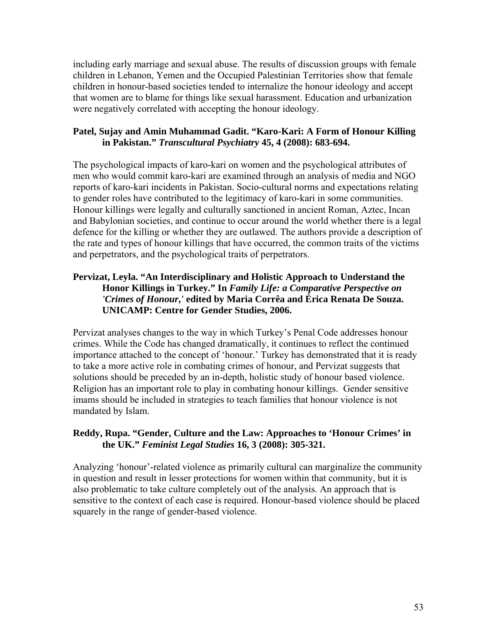including early marriage and sexual abuse. The results of discussion groups with female children in Lebanon, Yemen and the Occupied Palestinian Territories show that female children in honour-based societies tended to internalize the honour ideology and accept that women are to blame for things like sexual harassment. Education and urbanization were negatively correlated with accepting the honour ideology.

## **Patel, Sujay and Amin Muhammad Gadit. "Karo-Kari: A Form of Honour Killing in Pakistan."** *Transcultural Psychiatry* **45, 4 (2008): 683-694.**

The psychological impacts of karo-kari on women and the psychological attributes of men who would commit karo-kari are examined through an analysis of media and NGO reports of karo-kari incidents in Pakistan. Socio-cultural norms and expectations relating to gender roles have contributed to the legitimacy of karo-kari in some communities. Honour killings were legally and culturally sanctioned in ancient Roman, Aztec, Incan and Babylonian societies, and continue to occur around the world whether there is a legal defence for the killing or whether they are outlawed. The authors provide a description of the rate and types of honour killings that have occurred, the common traits of the victims and perpetrators, and the psychological traits of perpetrators.

## **Pervizat, Leyla. "An Interdisciplinary and Holistic Approach to Understand the Honor Killings in Turkey." In** *Family Life: a Comparative Perspective on 'Crimes of Honour***,***'* **edited by Maria Corrêa and Érica Renata De Souza. UNICAMP: Centre for Gender Studies, 2006.**

Pervizat analyses changes to the way in which Turkey's Penal Code addresses honour crimes. While the Code has changed dramatically, it continues to reflect the continued importance attached to the concept of 'honour.' Turkey has demonstrated that it is ready to take a more active role in combating crimes of honour, and Pervizat suggests that solutions should be preceded by an in-depth, holistic study of honour based violence. Religion has an important role to play in combating honour killings. Gender sensitive imams should be included in strategies to teach families that honour violence is not mandated by Islam.

## **Reddy, Rupa. "Gender, Culture and the Law: Approaches to 'Honour Crimes' in the UK."** *Feminist Legal Studies* **16, 3 (2008): 305-321.**

Analyzing 'honour'-related violence as primarily cultural can marginalize the community in question and result in lesser protections for women within that community, but it is also problematic to take culture completely out of the analysis. An approach that is sensitive to the context of each case is required. Honour-based violence should be placed squarely in the range of gender-based violence.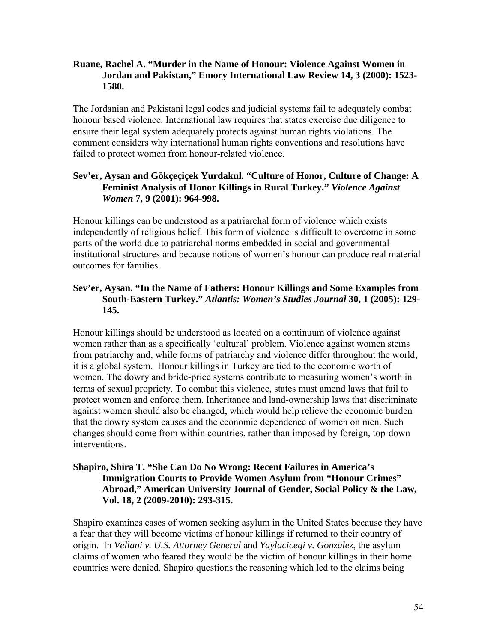#### **Ruane, Rachel A. "Murder in the Name of Honour: Violence Against Women in Jordan and Pakistan," Emory International Law Review 14, 3 (2000): 1523- 1580.**

The Jordanian and Pakistani legal codes and judicial systems fail to adequately combat honour based violence. International law requires that states exercise due diligence to ensure their legal system adequately protects against human rights violations. The comment considers why international human rights conventions and resolutions have failed to protect women from honour-related violence.

## **Sev'er, Aysan and Gökçeçiçek Yurdakul. "Culture of Honor, Culture of Change: A Feminist Analysis of Honor Killings in Rural Turkey."** *Violence Against Women* **7, 9 (2001): 964-998.**

Honour killings can be understood as a patriarchal form of violence which exists independently of religious belief. This form of violence is difficult to overcome in some parts of the world due to patriarchal norms embedded in social and governmental institutional structures and because notions of women's honour can produce real material outcomes for families.

#### **Sev'er, Aysan. "In the Name of Fathers: Honour Killings and Some Examples from South-Eastern Turkey."** *Atlantis: Women's Studies Journal* **30, 1 (2005): 129- 145.**

Honour killings should be understood as located on a continuum of violence against women rather than as a specifically 'cultural' problem. Violence against women stems from patriarchy and, while forms of patriarchy and violence differ throughout the world, it is a global system. Honour killings in Turkey are tied to the economic worth of women. The dowry and bride-price systems contribute to measuring women's worth in terms of sexual propriety. To combat this violence, states must amend laws that fail to protect women and enforce them. Inheritance and land-ownership laws that discriminate against women should also be changed, which would help relieve the economic burden that the dowry system causes and the economic dependence of women on men. Such changes should come from within countries, rather than imposed by foreign, top-down interventions.

#### **Shapiro, Shira T. "She Can Do No Wrong: Recent Failures in America's Immigration Courts to Provide Women Asylum from "Honour Crimes" Abroad," American University Journal of Gender, Social Policy & the Law, Vol. 18, 2 (2009-2010): 293-315.**

Shapiro examines cases of women seeking asylum in the United States because they have a fear that they will become victims of honour killings if returned to their country of origin. In *Vellani v. U.S. Attorney General* and *Yaylacicegi v. Gonzalez*, the asylum claims of women who feared they would be the victim of honour killings in their home countries were denied. Shapiro questions the reasoning which led to the claims being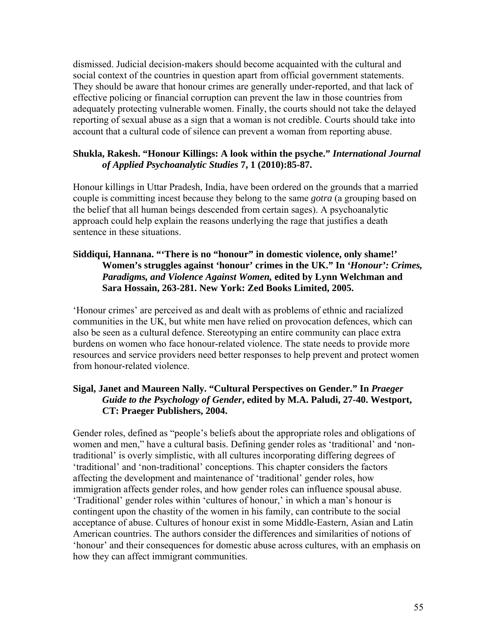dismissed. Judicial decision-makers should become acquainted with the cultural and social context of the countries in question apart from official government statements. They should be aware that honour crimes are generally under-reported, and that lack of effective policing or financial corruption can prevent the law in those countries from adequately protecting vulnerable women. Finally, the courts should not take the delayed reporting of sexual abuse as a sign that a woman is not credible. Courts should take into account that a cultural code of silence can prevent a woman from reporting abuse.

#### **Shukla, Rakesh. "Honour Killings: A look within the psyche."** *International Journal of Applied Psychoanalytic Studies* **7, 1 (2010):85-87.**

Honour killings in Uttar Pradesh, India, have been ordered on the grounds that a married couple is committing incest because they belong to the same *gotra* (a grouping based on the belief that all human beings descended from certain sages). A psychoanalytic approach could help explain the reasons underlying the rage that justifies a death sentence in these situations.

## **Siddiqui, Hannana. "'There is no "honour" in domestic violence, only shame!' Women's struggles against 'honour' crimes in the UK." In** *'Honour': Crimes, Paradigms, and Violence Against Women,* **edited by Lynn Welchman and Sara Hossain, 263-281. New York: Zed Books Limited, 2005.**

'Honour crimes' are perceived as and dealt with as problems of ethnic and racialized communities in the UK, but white men have relied on provocation defences, which can also be seen as a cultural defence. Stereotyping an entire community can place extra burdens on women who face honour-related violence. The state needs to provide more resources and service providers need better responses to help prevent and protect women from honour-related violence.

## **Sigal, Janet and Maureen Nally. "Cultural Perspectives on Gender." In** *Praeger Guide to the Psychology of Gender***, edited by M.A. Paludi, 27-40. Westport, CT: Praeger Publishers, 2004.**

Gender roles, defined as "people's beliefs about the appropriate roles and obligations of women and men," have a cultural basis. Defining gender roles as 'traditional' and 'nontraditional' is overly simplistic, with all cultures incorporating differing degrees of 'traditional' and 'non-traditional' conceptions. This chapter considers the factors affecting the development and maintenance of 'traditional' gender roles, how immigration affects gender roles, and how gender roles can influence spousal abuse. 'Traditional' gender roles within 'cultures of honour,' in which a man's honour is contingent upon the chastity of the women in his family, can contribute to the social acceptance of abuse. Cultures of honour exist in some Middle-Eastern, Asian and Latin American countries. The authors consider the differences and similarities of notions of 'honour' and their consequences for domestic abuse across cultures, with an emphasis on how they can affect immigrant communities.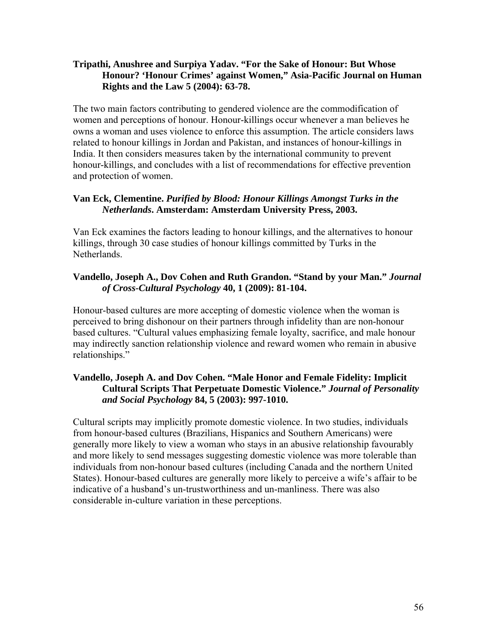#### **Tripathi, Anushree and Surpiya Yadav. "For the Sake of Honour: But Whose Honour? 'Honour Crimes' against Women," Asia-Pacific Journal on Human Rights and the Law 5 (2004): 63-78.**

The two main factors contributing to gendered violence are the commodification of women and perceptions of honour. Honour-killings occur whenever a man believes he owns a woman and uses violence to enforce this assumption. The article considers laws related to honour killings in Jordan and Pakistan, and instances of honour-killings in India. It then considers measures taken by the international community to prevent honour-killings, and concludes with a list of recommendations for effective prevention and protection of women.

## **Van Eck, Clementine.** *Purified by Blood: Honour Killings Amongst Turks in the Netherlands***. Amsterdam: Amsterdam University Press, 2003.**

Van Eck examines the factors leading to honour killings, and the alternatives to honour killings, through 30 case studies of honour killings committed by Turks in the Netherlands.

## **Vandello, Joseph A., Dov Cohen and Ruth Grandon. "Stand by your Man."** *Journal of Cross-Cultural Psychology* **40, 1 (2009): 81-104.**

Honour-based cultures are more accepting of domestic violence when the woman is perceived to bring dishonour on their partners through infidelity than are non-honour based cultures. "Cultural values emphasizing female loyalty, sacrifice, and male honour may indirectly sanction relationship violence and reward women who remain in abusive relationships."

## **Vandello, Joseph A. and Dov Cohen. "Male Honor and Female Fidelity: Implicit Cultural Scripts That Perpetuate Domestic Violence."** *Journal of Personality and Social Psychology* **84, 5 (2003): 997-1010.**

Cultural scripts may implicitly promote domestic violence. In two studies, individuals from honour-based cultures (Brazilians, Hispanics and Southern Americans) were generally more likely to view a woman who stays in an abusive relationship favourably and more likely to send messages suggesting domestic violence was more tolerable than individuals from non-honour based cultures (including Canada and the northern United States). Honour-based cultures are generally more likely to perceive a wife's affair to be indicative of a husband's un-trustworthiness and un-manliness. There was also considerable in-culture variation in these perceptions.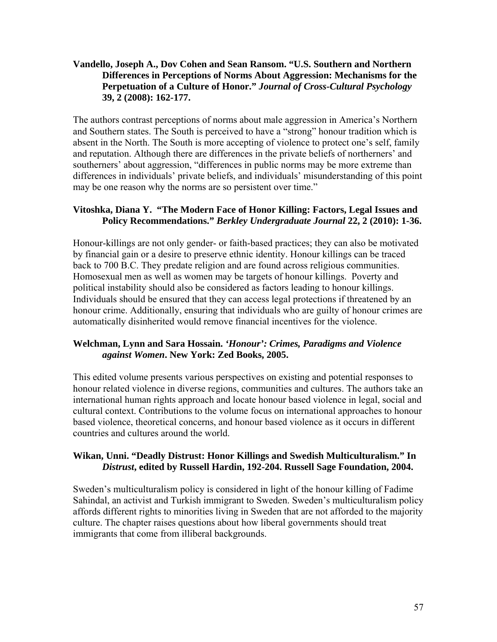#### **Vandello, Joseph A., Dov Cohen and Sean Ransom. "U.S. Southern and Northern Differences in Perceptions of Norms About Aggression: Mechanisms for the Perpetuation of a Culture of Honor."** *Journal of Cross-Cultural Psychology* **39, 2 (2008): 162-177.**

The authors contrast perceptions of norms about male aggression in America's Northern and Southern states. The South is perceived to have a "strong" honour tradition which is absent in the North. The South is more accepting of violence to protect one's self, family and reputation. Although there are differences in the private beliefs of northerners' and southerners' about aggression, "differences in public norms may be more extreme than differences in individuals' private beliefs, and individuals' misunderstanding of this point may be one reason why the norms are so persistent over time."

## **Vitoshka, Diana Y. "The Modern Face of Honor Killing: Factors, Legal Issues and Policy Recommendations."** *Berkley Undergraduate Journal* **22, 2 (2010): 1-36.**

Honour-killings are not only gender- or faith-based practices; they can also be motivated by financial gain or a desire to preserve ethnic identity. Honour killings can be traced back to 700 B.C. They predate religion and are found across religious communities. Homosexual men as well as women may be targets of honour killings. Poverty and political instability should also be considered as factors leading to honour killings. Individuals should be ensured that they can access legal protections if threatened by an honour crime. Additionally, ensuring that individuals who are guilty of honour crimes are automatically disinherited would remove financial incentives for the violence.

## **Welchman, Lynn and Sara Hossain.** *'Honour': Crimes, Paradigms and Violence against Women***. New York: Zed Books, 2005.**

This edited volume presents various perspectives on existing and potential responses to honour related violence in diverse regions, communities and cultures. The authors take an international human rights approach and locate honour based violence in legal, social and cultural context. Contributions to the volume focus on international approaches to honour based violence, theoretical concerns, and honour based violence as it occurs in different countries and cultures around the world.

## **Wikan, Unni. "Deadly Distrust: Honor Killings and Swedish Multiculturalism." In**  *Distrust***, edited by Russell Hardin, 192-204. Russell Sage Foundation, 2004.**

Sweden's multiculturalism policy is considered in light of the honour killing of Fadime Sahindal, an activist and Turkish immigrant to Sweden. Sweden's multiculturalism policy affords different rights to minorities living in Sweden that are not afforded to the majority culture. The chapter raises questions about how liberal governments should treat immigrants that come from illiberal backgrounds.